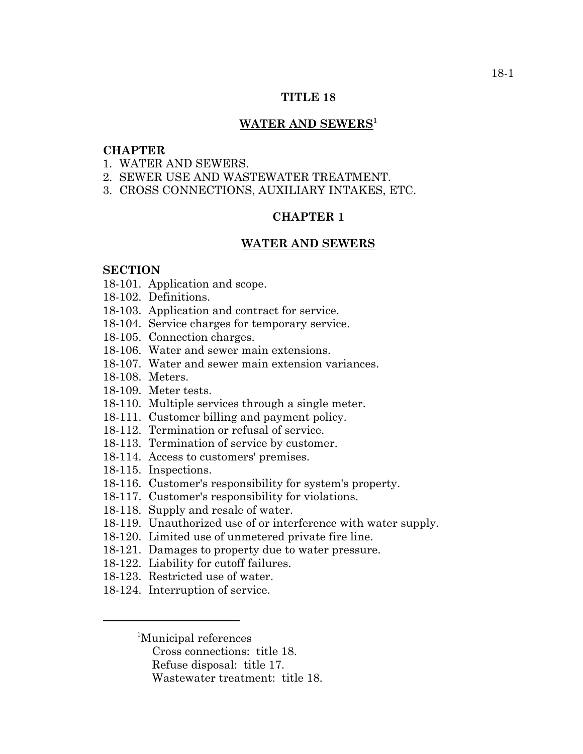### **TITLE 18**

### **WATER AND SEWERS1**

### **CHAPTER**

- 1. WATER AND SEWERS.
- 2. SEWER USE AND WASTEWATER TREATMENT.
- 3. CROSS CONNECTIONS, AUXILIARY INTAKES, ETC.

### **CHAPTER 1**

#### **WATER AND SEWERS**

### **SECTION**

- 18-101. Application and scope.
- 18-102. Definitions.
- 18-103. Application and contract for service.
- 18-104. Service charges for temporary service.
- 18-105. Connection charges.
- 18-106. Water and sewer main extensions.
- 18-107. Water and sewer main extension variances.
- 18-108. Meters.
- 18-109. Meter tests.
- 18-110. Multiple services through a single meter.
- 18-111. Customer billing and payment policy.
- 18-112. Termination or refusal of service.
- 18-113. Termination of service by customer.
- 18-114. Access to customers' premises.
- 18-115. Inspections.
- 18-116. Customer's responsibility for system's property.
- 18-117. Customer's responsibility for violations.
- 18-118. Supply and resale of water.
- 18-119. Unauthorized use of or interference with water supply.
- 18-120. Limited use of unmetered private fire line.
- 18-121. Damages to property due to water pressure.
- 18-122. Liability for cutoff failures.
- 18-123. Restricted use of water.
- 18-124. Interruption of service.

1 Municipal references

Cross connections: title 18.

- Refuse disposal: title 17.
- Wastewater treatment: title 18.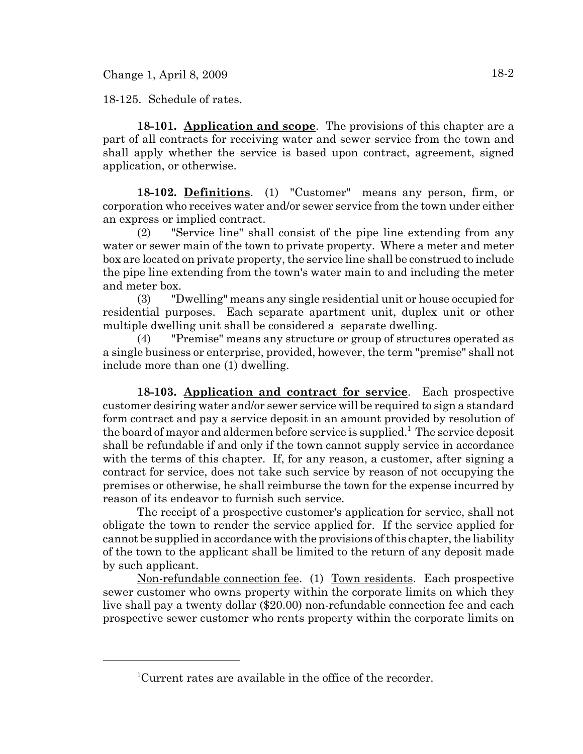Change 1, April 8, 2009  $18-2$ 

18-125. Schedule of rates.

**18-101. Application and scope**. The provisions of this chapter are a part of all contracts for receiving water and sewer service from the town and shall apply whether the service is based upon contract, agreement, signed application, or otherwise.

**18-102. Definitions**. (1) "Customer" means any person, firm, or corporation who receives water and/or sewer service from the town under either an express or implied contract.

(2) "Service line" shall consist of the pipe line extending from any water or sewer main of the town to private property. Where a meter and meter box are located on private property, the service line shall be construed to include the pipe line extending from the town's water main to and including the meter and meter box.

(3) "Dwelling" means any single residential unit or house occupied for residential purposes. Each separate apartment unit, duplex unit or other multiple dwelling unit shall be considered a separate dwelling.

(4) "Premise" means any structure or group of structures operated as a single business or enterprise, provided, however, the term "premise" shall not include more than one (1) dwelling.

**18-103. Application and contract for service**. Each prospective customer desiring water and/or sewer service will be required to sign a standard form contract and pay a service deposit in an amount provided by resolution of the board of mayor and aldermen before service is supplied.<sup>1</sup> The service deposit shall be refundable if and only if the town cannot supply service in accordance with the terms of this chapter. If, for any reason, a customer, after signing a contract for service, does not take such service by reason of not occupying the premises or otherwise, he shall reimburse the town for the expense incurred by reason of its endeavor to furnish such service.

The receipt of a prospective customer's application for service, shall not obligate the town to render the service applied for. If the service applied for cannot be supplied in accordance with the provisions of this chapter, the liability of the town to the applicant shall be limited to the return of any deposit made by such applicant.

Non-refundable connection fee. (1) Town residents. Each prospective sewer customer who owns property within the corporate limits on which they live shall pay a twenty dollar (\$20.00) non-refundable connection fee and each prospective sewer customer who rents property within the corporate limits on

<sup>&</sup>lt;sup>1</sup>Current rates are available in the office of the recorder.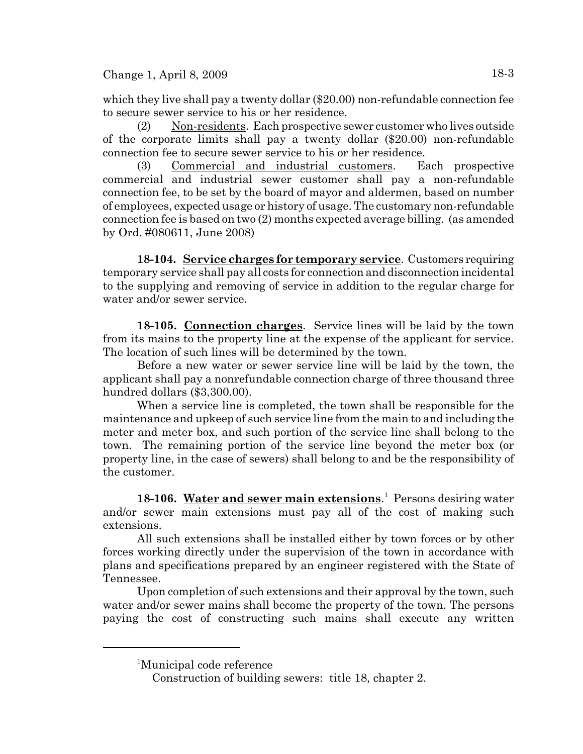Change 1, April 8, 2009 18-3

which they live shall pay a twenty dollar (\$20.00) non-refundable connection fee to secure sewer service to his or her residence.

(2) Non-residents. Each prospective sewer customer who lives outside of the corporate limits shall pay a twenty dollar (\$20.00) non-refundable connection fee to secure sewer service to his or her residence.

(3) Commercial and industrial customers. Each prospective commercial and industrial sewer customer shall pay a non-refundable connection fee, to be set by the board of mayor and aldermen, based on number of employees, expected usage or history of usage. The customary non-refundable connection fee is based on two (2) months expected average billing. (as amended by Ord. #080611, June 2008)

**18-104. Service charges for temporary service**. Customers requiring temporary service shall pay all costs for connection and disconnection incidental to the supplying and removing of service in addition to the regular charge for water and/or sewer service.

**18-105. Connection charges**. Service lines will be laid by the town from its mains to the property line at the expense of the applicant for service. The location of such lines will be determined by the town.

Before a new water or sewer service line will be laid by the town, the applicant shall pay a nonrefundable connection charge of three thousand three hundred dollars (\$3,300.00).

When a service line is completed, the town shall be responsible for the maintenance and upkeep of such service line from the main to and including the meter and meter box, and such portion of the service line shall belong to the town. The remaining portion of the service line beyond the meter box (or property line, in the case of sewers) shall belong to and be the responsibility of the customer.

18-106. Water and sewer main extensions.<sup>1</sup> Persons desiring water and/or sewer main extensions must pay all of the cost of making such extensions.

All such extensions shall be installed either by town forces or by other forces working directly under the supervision of the town in accordance with plans and specifications prepared by an engineer registered with the State of Tennessee.

Upon completion of such extensions and their approval by the town, such water and/or sewer mains shall become the property of the town. The persons paying the cost of constructing such mains shall execute any written

<sup>&</sup>lt;sup>1</sup>Municipal code reference

Construction of building sewers: title 18, chapter 2.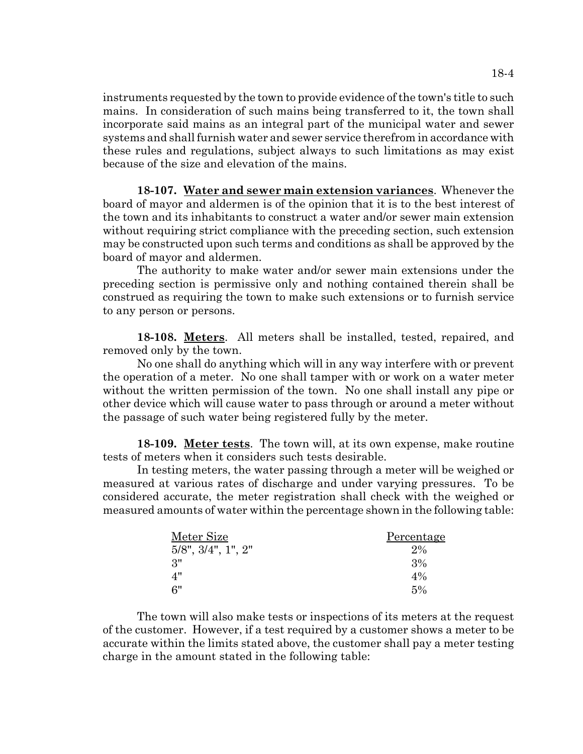instruments requested by the town to provide evidence of the town's title to such mains. In consideration of such mains being transferred to it, the town shall incorporate said mains as an integral part of the municipal water and sewer systems and shall furnish water and sewer service therefrom in accordance with these rules and regulations, subject always to such limitations as may exist because of the size and elevation of the mains.

**18-107. Water and sewer main extension variances**. Whenever the board of mayor and aldermen is of the opinion that it is to the best interest of the town and its inhabitants to construct a water and/or sewer main extension without requiring strict compliance with the preceding section, such extension may be constructed upon such terms and conditions as shall be approved by the board of mayor and aldermen.

The authority to make water and/or sewer main extensions under the preceding section is permissive only and nothing contained therein shall be construed as requiring the town to make such extensions or to furnish service to any person or persons.

**18-108. Meters**. All meters shall be installed, tested, repaired, and removed only by the town.

No one shall do anything which will in any way interfere with or prevent the operation of a meter. No one shall tamper with or work on a water meter without the written permission of the town. No one shall install any pipe or other device which will cause water to pass through or around a meter without the passage of such water being registered fully by the meter.

**18-109. Meter tests**. The town will, at its own expense, make routine tests of meters when it considers such tests desirable.

In testing meters, the water passing through a meter will be weighed or measured at various rates of discharge and under varying pressures. To be considered accurate, the meter registration shall check with the weighed or measured amounts of water within the percentage shown in the following table:

| Meter Size                     | Percentage |
|--------------------------------|------------|
| $5/8$ ", $3/4$ ", $1$ ", $2$ " | $2\%$      |
| 3"                             | 3%         |
| 4"                             | $4\%$      |
| 6"                             | $5\%$      |

The town will also make tests or inspections of its meters at the request of the customer. However, if a test required by a customer shows a meter to be accurate within the limits stated above, the customer shall pay a meter testing charge in the amount stated in the following table: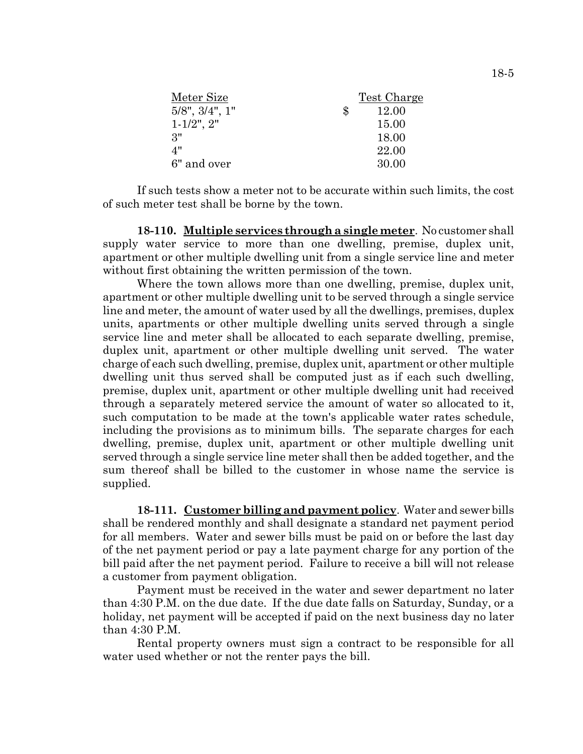|               | Test Charge |
|---------------|-------------|
| $\mathcal{S}$ | 12.00       |
|               | 15.00       |
|               | 18.00       |
|               | 22.00       |
|               | 30.00       |
|               |             |

If such tests show a meter not to be accurate within such limits, the cost of such meter test shall be borne by the town.

**18-110. Multiple services through a single meter**. No customer shall supply water service to more than one dwelling, premise, duplex unit, apartment or other multiple dwelling unit from a single service line and meter without first obtaining the written permission of the town.

Where the town allows more than one dwelling, premise, duplex unit, apartment or other multiple dwelling unit to be served through a single service line and meter, the amount of water used by all the dwellings, premises, duplex units, apartments or other multiple dwelling units served through a single service line and meter shall be allocated to each separate dwelling, premise, duplex unit, apartment or other multiple dwelling unit served. The water charge of each such dwelling, premise, duplex unit, apartment or other multiple dwelling unit thus served shall be computed just as if each such dwelling, premise, duplex unit, apartment or other multiple dwelling unit had received through a separately metered service the amount of water so allocated to it, such computation to be made at the town's applicable water rates schedule, including the provisions as to minimum bills. The separate charges for each dwelling, premise, duplex unit, apartment or other multiple dwelling unit served through a single service line meter shall then be added together, and the sum thereof shall be billed to the customer in whose name the service is supplied.

**18-111. Customer billing and payment policy**. Water and sewer bills shall be rendered monthly and shall designate a standard net payment period for all members. Water and sewer bills must be paid on or before the last day of the net payment period or pay a late payment charge for any portion of the bill paid after the net payment period. Failure to receive a bill will not release a customer from payment obligation.

Payment must be received in the water and sewer department no later than 4:30 P.M. on the due date. If the due date falls on Saturday, Sunday, or a holiday, net payment will be accepted if paid on the next business day no later than 4:30 P.M.

Rental property owners must sign a contract to be responsible for all water used whether or not the renter pays the bill.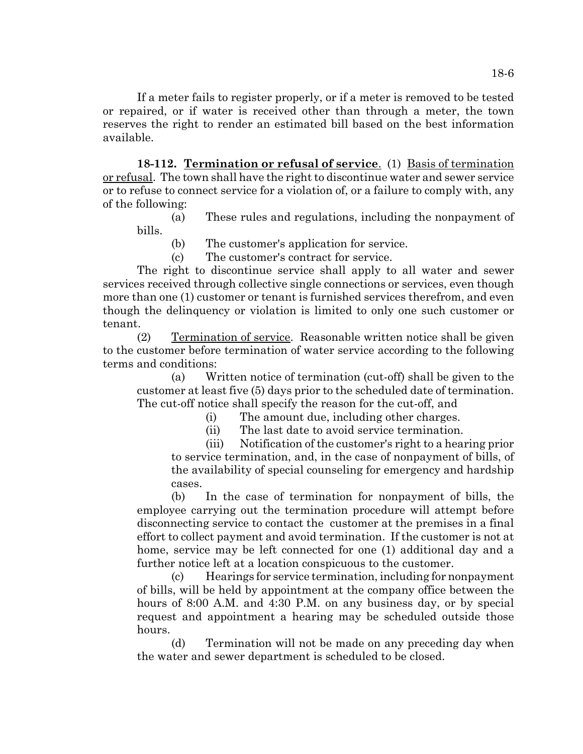If a meter fails to register properly, or if a meter is removed to be tested or repaired, or if water is received other than through a meter, the town reserves the right to render an estimated bill based on the best information available.

**18-112. Termination or refusal of service**. (1) Basis of termination or refusal. The town shall have the right to discontinue water and sewer service or to refuse to connect service for a violation of, or a failure to comply with, any of the following:

(a) These rules and regulations, including the nonpayment of bills.

(b) The customer's application for service.

(c) The customer's contract for service.

The right to discontinue service shall apply to all water and sewer services received through collective single connections or services, even though more than one (1) customer or tenant is furnished services therefrom, and even though the delinquency or violation is limited to only one such customer or tenant.

(2) Termination of service. Reasonable written notice shall be given to the customer before termination of water service according to the following terms and conditions:

(a) Written notice of termination (cut-off) shall be given to the customer at least five (5) days prior to the scheduled date of termination. The cut-off notice shall specify the reason for the cut-off, and

(i) The amount due, including other charges.

(ii) The last date to avoid service termination.

(iii) Notification of the customer's right to a hearing prior to service termination, and, in the case of nonpayment of bills, of the availability of special counseling for emergency and hardship cases.

(b) In the case of termination for nonpayment of bills, the employee carrying out the termination procedure will attempt before disconnecting service to contact the customer at the premises in a final effort to collect payment and avoid termination. If the customer is not at home, service may be left connected for one (1) additional day and a further notice left at a location conspicuous to the customer.

(c) Hearings for service termination, including for nonpayment of bills, will be held by appointment at the company office between the hours of 8:00 A.M. and 4:30 P.M. on any business day, or by special request and appointment a hearing may be scheduled outside those hours.

(d) Termination will not be made on any preceding day when the water and sewer department is scheduled to be closed.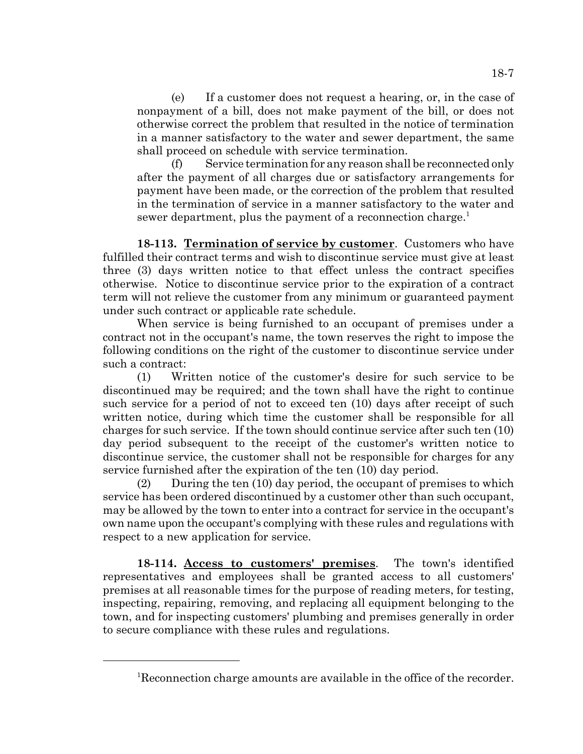(e) If a customer does not request a hearing, or, in the case of nonpayment of a bill, does not make payment of the bill, or does not otherwise correct the problem that resulted in the notice of termination in a manner satisfactory to the water and sewer department, the same shall proceed on schedule with service termination.

(f) Service termination for any reason shall be reconnected only after the payment of all charges due or satisfactory arrangements for payment have been made, or the correction of the problem that resulted in the termination of service in a manner satisfactory to the water and sewer department, plus the payment of a reconnection charge.<sup>1</sup>

**18-113. Termination of service by customer**. Customers who have fulfilled their contract terms and wish to discontinue service must give at least three (3) days written notice to that effect unless the contract specifies otherwise. Notice to discontinue service prior to the expiration of a contract term will not relieve the customer from any minimum or guaranteed payment under such contract or applicable rate schedule.

When service is being furnished to an occupant of premises under a contract not in the occupant's name, the town reserves the right to impose the following conditions on the right of the customer to discontinue service under such a contract:

(1) Written notice of the customer's desire for such service to be discontinued may be required; and the town shall have the right to continue such service for a period of not to exceed ten (10) days after receipt of such written notice, during which time the customer shall be responsible for all charges for such service. If the town should continue service after such ten (10) day period subsequent to the receipt of the customer's written notice to discontinue service, the customer shall not be responsible for charges for any service furnished after the expiration of the ten (10) day period.

(2) During the ten (10) day period, the occupant of premises to which service has been ordered discontinued by a customer other than such occupant, may be allowed by the town to enter into a contract for service in the occupant's own name upon the occupant's complying with these rules and regulations with respect to a new application for service.

**18-114. Access to customers' premises**. The town's identified representatives and employees shall be granted access to all customers' premises at all reasonable times for the purpose of reading meters, for testing, inspecting, repairing, removing, and replacing all equipment belonging to the town, and for inspecting customers' plumbing and premises generally in order to secure compliance with these rules and regulations.

<sup>&</sup>lt;sup>1</sup>Reconnection charge amounts are available in the office of the recorder.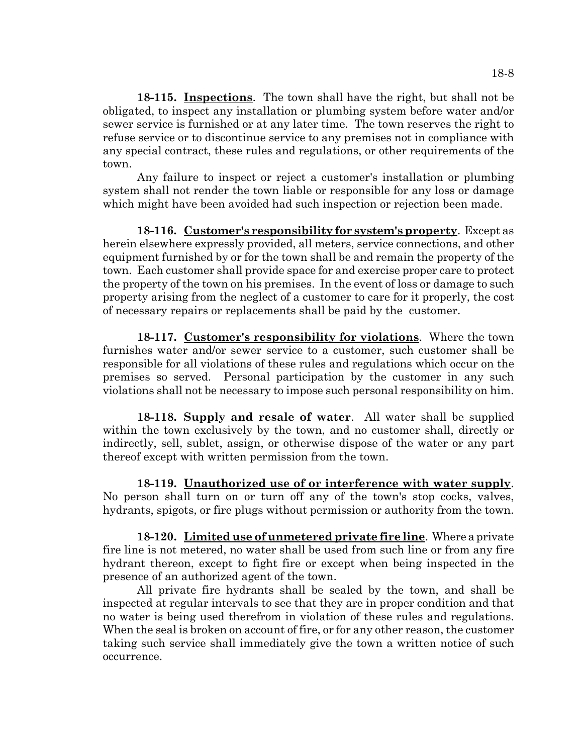**18-115. Inspections**. The town shall have the right, but shall not be obligated, to inspect any installation or plumbing system before water and/or sewer service is furnished or at any later time. The town reserves the right to refuse service or to discontinue service to any premises not in compliance with any special contract, these rules and regulations, or other requirements of the town.

Any failure to inspect or reject a customer's installation or plumbing system shall not render the town liable or responsible for any loss or damage which might have been avoided had such inspection or rejection been made.

**18-116. Customer's responsibility for system's property**. Except as herein elsewhere expressly provided, all meters, service connections, and other equipment furnished by or for the town shall be and remain the property of the town. Each customer shall provide space for and exercise proper care to protect the property of the town on his premises. In the event of loss or damage to such property arising from the neglect of a customer to care for it properly, the cost of necessary repairs or replacements shall be paid by the customer.

**18-117. Customer's responsibility for violations**. Where the town furnishes water and/or sewer service to a customer, such customer shall be responsible for all violations of these rules and regulations which occur on the premises so served. Personal participation by the customer in any such violations shall not be necessary to impose such personal responsibility on him.

**18-118. Supply and resale of water**. All water shall be supplied within the town exclusively by the town, and no customer shall, directly or indirectly, sell, sublet, assign, or otherwise dispose of the water or any part thereof except with written permission from the town.

**18-119. Unauthorized use of or interference with water supply**. No person shall turn on or turn off any of the town's stop cocks, valves, hydrants, spigots, or fire plugs without permission or authority from the town.

**18-120. Limited use of unmetered private fire line**. Where a private fire line is not metered, no water shall be used from such line or from any fire hydrant thereon, except to fight fire or except when being inspected in the presence of an authorized agent of the town.

All private fire hydrants shall be sealed by the town, and shall be inspected at regular intervals to see that they are in proper condition and that no water is being used therefrom in violation of these rules and regulations. When the seal is broken on account of fire, or for any other reason, the customer taking such service shall immediately give the town a written notice of such occurrence.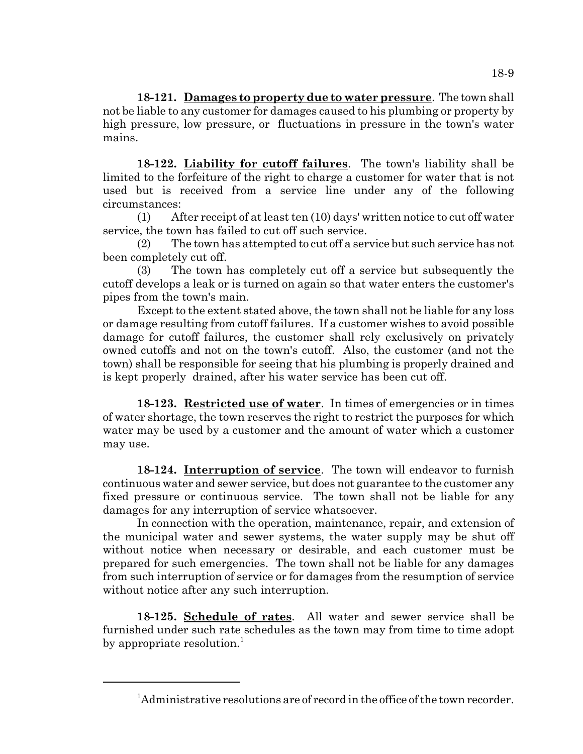**18-121. Damages to property due to water pressure**. The town shall not be liable to any customer for damages caused to his plumbing or property by high pressure, low pressure, or fluctuations in pressure in the town's water mains.

**18-122. Liability for cutoff failures**. The town's liability shall be limited to the forfeiture of the right to charge a customer for water that is not used but is received from a service line under any of the following circumstances:

(1) After receipt of at least ten (10) days' written notice to cut off water service, the town has failed to cut off such service.

(2) The town has attempted to cut off a service but such service has not been completely cut off.

(3) The town has completely cut off a service but subsequently the cutoff develops a leak or is turned on again so that water enters the customer's pipes from the town's main.

Except to the extent stated above, the town shall not be liable for any loss or damage resulting from cutoff failures. If a customer wishes to avoid possible damage for cutoff failures, the customer shall rely exclusively on privately owned cutoffs and not on the town's cutoff. Also, the customer (and not the town) shall be responsible for seeing that his plumbing is properly drained and is kept properly drained, after his water service has been cut off.

**18-123. Restricted use of water**. In times of emergencies or in times of water shortage, the town reserves the right to restrict the purposes for which water may be used by a customer and the amount of water which a customer may use.

**18-124. Interruption of service**. The town will endeavor to furnish continuous water and sewer service, but does not guarantee to the customer any fixed pressure or continuous service. The town shall not be liable for any damages for any interruption of service whatsoever.

In connection with the operation, maintenance, repair, and extension of the municipal water and sewer systems, the water supply may be shut off without notice when necessary or desirable, and each customer must be prepared for such emergencies. The town shall not be liable for any damages from such interruption of service or for damages from the resumption of service without notice after any such interruption.

**18-125. Schedule of rates**. All water and sewer service shall be furnished under such rate schedules as the town may from time to time adopt by appropriate resolution.<sup>1</sup>

<sup>&</sup>lt;sup>1</sup>Administrative resolutions are of record in the office of the town recorder.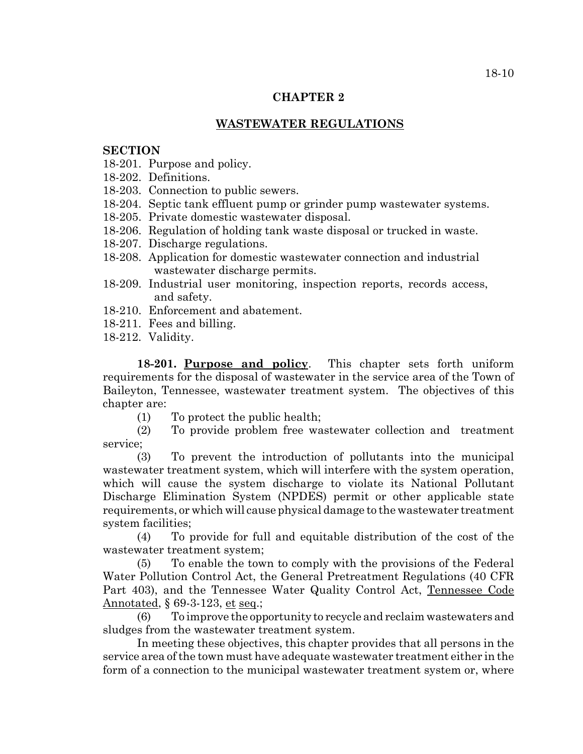### **CHAPTER 2**

## **WASTEWATER REGULATIONS**

#### **SECTION**

- 18-201. Purpose and policy.
- 18-202. Definitions.
- 18-203. Connection to public sewers.
- 18-204. Septic tank effluent pump or grinder pump wastewater systems.
- 18-205. Private domestic wastewater disposal.
- 18-206. Regulation of holding tank waste disposal or trucked in waste.
- 18-207. Discharge regulations.
- 18-208. Application for domestic wastewater connection and industrial wastewater discharge permits.
- 18-209. Industrial user monitoring, inspection reports, records access, and safety.
- 18-210. Enforcement and abatement.
- 18-211. Fees and billing.
- 18-212. Validity.

**18-201. Purpose and policy**. This chapter sets forth uniform requirements for the disposal of wastewater in the service area of the Town of Baileyton, Tennessee, wastewater treatment system. The objectives of this chapter are:

(1) To protect the public health;

(2) To provide problem free wastewater collection and treatment service;

(3) To prevent the introduction of pollutants into the municipal wastewater treatment system, which will interfere with the system operation, which will cause the system discharge to violate its National Pollutant Discharge Elimination System (NPDES) permit or other applicable state requirements, or which will cause physical damage to the wastewater treatment system facilities;

(4) To provide for full and equitable distribution of the cost of the wastewater treatment system;

(5) To enable the town to comply with the provisions of the Federal Water Pollution Control Act, the General Pretreatment Regulations (40 CFR Part 403), and the Tennessee Water Quality Control Act, Tennessee Code Annotated, § 69-3-123, et seq.;

(6) To improve the opportunity to recycle and reclaim wastewaters and sludges from the wastewater treatment system.

In meeting these objectives, this chapter provides that all persons in the service area of the town must have adequate wastewater treatment either in the form of a connection to the municipal wastewater treatment system or, where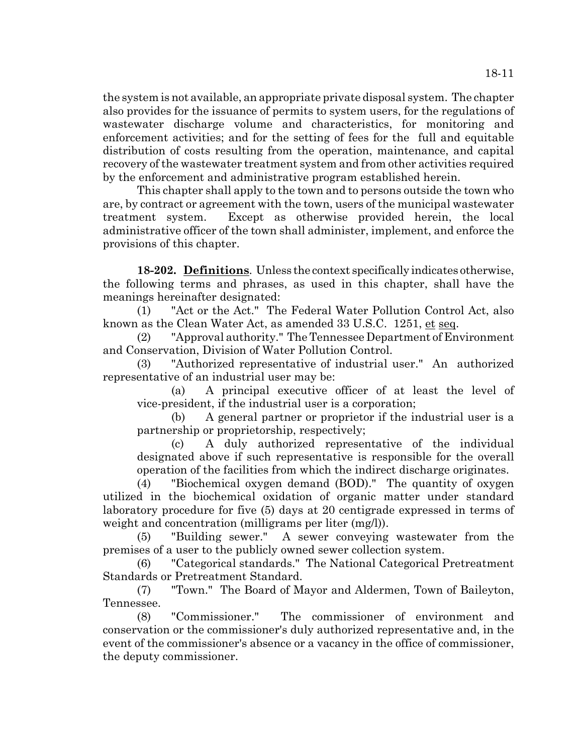the system is not available, an appropriate private disposal system. The chapter also provides for the issuance of permits to system users, for the regulations of wastewater discharge volume and characteristics, for monitoring and enforcement activities; and for the setting of fees for the full and equitable distribution of costs resulting from the operation, maintenance, and capital recovery of the wastewater treatment system and from other activities required by the enforcement and administrative program established herein.

This chapter shall apply to the town and to persons outside the town who are, by contract or agreement with the town, users of the municipal wastewater treatment system. Except as otherwise provided herein, the local administrative officer of the town shall administer, implement, and enforce the provisions of this chapter.

**18-202. Definitions**. Unless the context specifically indicates otherwise, the following terms and phrases, as used in this chapter, shall have the meanings hereinafter designated:

(1) "Act or the Act." The Federal Water Pollution Control Act, also known as the Clean Water Act, as amended 33 U.S.C. 1251, et seq.

(2) "Approval authority." The Tennessee Department of Environment and Conservation, Division of Water Pollution Control.

(3) "Authorized representative of industrial user." An authorized representative of an industrial user may be:

(a) A principal executive officer of at least the level of vice-president, if the industrial user is a corporation;

A general partner or proprietor if the industrial user is a partnership or proprietorship, respectively;

(c) A duly authorized representative of the individual designated above if such representative is responsible for the overall operation of the facilities from which the indirect discharge originates.

(4) "Biochemical oxygen demand (BOD)." The quantity of oxygen utilized in the biochemical oxidation of organic matter under standard laboratory procedure for five (5) days at 20 centigrade expressed in terms of weight and concentration (milligrams per liter (mg/l)).

(5) "Building sewer." A sewer conveying wastewater from the premises of a user to the publicly owned sewer collection system.

(6) "Categorical standards." The National Categorical Pretreatment Standards or Pretreatment Standard.

(7) "Town." The Board of Mayor and Aldermen, Town of Baileyton, Tennessee.

(8) "Commissioner." The commissioner of environment and conservation or the commissioner's duly authorized representative and, in the event of the commissioner's absence or a vacancy in the office of commissioner, the deputy commissioner.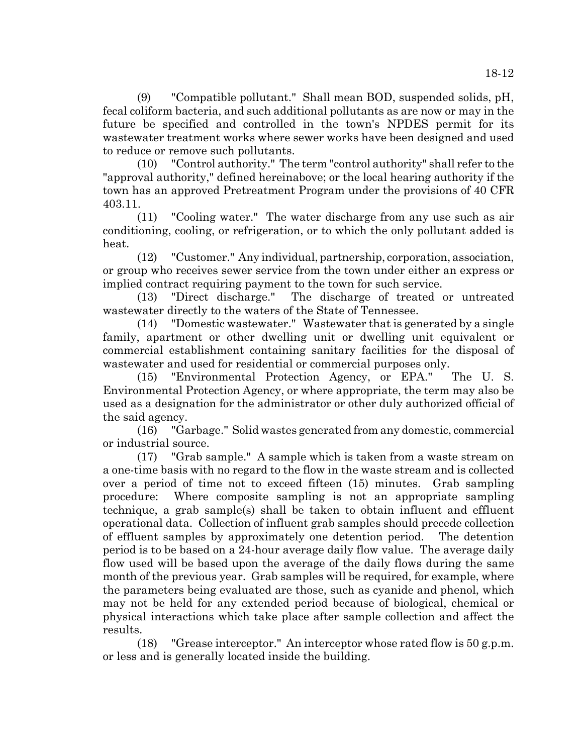(9) "Compatible pollutant." Shall mean BOD, suspended solids, pH, fecal coliform bacteria, and such additional pollutants as are now or may in the future be specified and controlled in the town's NPDES permit for its wastewater treatment works where sewer works have been designed and used to reduce or remove such pollutants.

(10) "Control authority." The term "control authority" shall refer to the "approval authority," defined hereinabove; or the local hearing authority if the town has an approved Pretreatment Program under the provisions of 40 CFR 403.11.

(11) "Cooling water." The water discharge from any use such as air conditioning, cooling, or refrigeration, or to which the only pollutant added is heat.

(12) "Customer." Any individual, partnership, corporation, association, or group who receives sewer service from the town under either an express or implied contract requiring payment to the town for such service.

(13) "Direct discharge." The discharge of treated or untreated wastewater directly to the waters of the State of Tennessee.

(14) "Domestic wastewater." Wastewater that is generated by a single family, apartment or other dwelling unit or dwelling unit equivalent or commercial establishment containing sanitary facilities for the disposal of wastewater and used for residential or commercial purposes only.

(15) "Environmental Protection Agency, or EPA." The U. S. Environmental Protection Agency, or where appropriate, the term may also be used as a designation for the administrator or other duly authorized official of the said agency.

(16) "Garbage." Solid wastes generated from any domestic, commercial or industrial source.

(17) "Grab sample." A sample which is taken from a waste stream on a one-time basis with no regard to the flow in the waste stream and is collected over a period of time not to exceed fifteen (15) minutes. Grab sampling procedure: Where composite sampling is not an appropriate sampling technique, a grab sample(s) shall be taken to obtain influent and effluent operational data. Collection of influent grab samples should precede collection of effluent samples by approximately one detention period. The detention period is to be based on a 24-hour average daily flow value. The average daily flow used will be based upon the average of the daily flows during the same month of the previous year. Grab samples will be required, for example, where the parameters being evaluated are those, such as cyanide and phenol, which may not be held for any extended period because of biological, chemical or physical interactions which take place after sample collection and affect the results.

(18) "Grease interceptor." An interceptor whose rated flow is 50 g.p.m. or less and is generally located inside the building.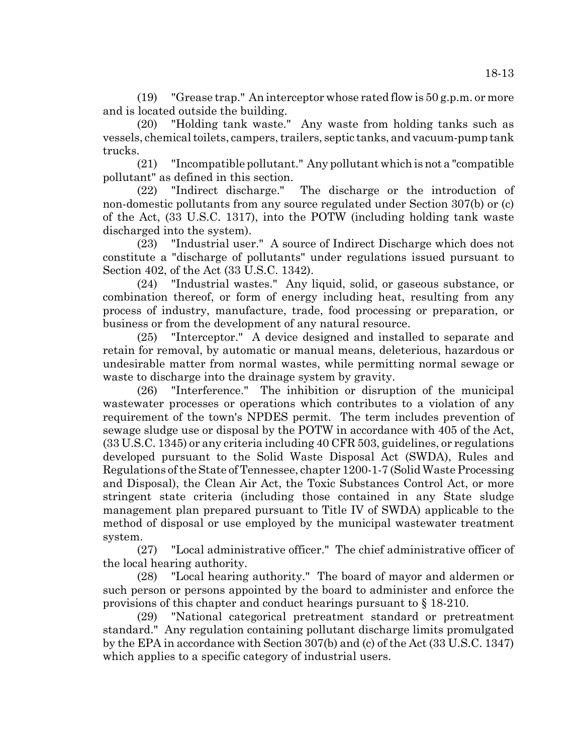(19) "Grease trap." An interceptor whose rated flow is 50 g.p.m. or more and is located outside the building.

(20) "Holding tank waste." Any waste from holding tanks such as vessels, chemical toilets, campers, trailers, septic tanks, and vacuum-pump tank trucks.

(21) "Incompatible pollutant." Any pollutant which is not a "compatible pollutant" as defined in this section.

(22) "Indirect discharge." The discharge or the introduction of non-domestic pollutants from any source regulated under Section 307(b) or (c) of the Act, (33 U.S.C. 1317), into the POTW (including holding tank waste discharged into the system).

(23) "Industrial user." A source of Indirect Discharge which does not constitute a "discharge of pollutants" under regulations issued pursuant to Section 402, of the Act (33 U.S.C. 1342).

(24) "Industrial wastes." Any liquid, solid, or gaseous substance, or combination thereof, or form of energy including heat, resulting from any process of industry, manufacture, trade, food processing or preparation, or business or from the development of any natural resource.

(25) "Interceptor." A device designed and installed to separate and retain for removal, by automatic or manual means, deleterious, hazardous or undesirable matter from normal wastes, while permitting normal sewage or waste to discharge into the drainage system by gravity.

(26) "Interference." The inhibition or disruption of the municipal wastewater processes or operations which contributes to a violation of any requirement of the town's NPDES permit. The term includes prevention of sewage sludge use or disposal by the POTW in accordance with 405 of the Act, (33 U.S.C. 1345) or any criteria including 40 CFR 503, guidelines, or regulations developed pursuant to the Solid Waste Disposal Act (SWDA), Rules and Regulations of the State of Tennessee, chapter 1200-1-7 (Solid Waste Processing and Disposal), the Clean Air Act, the Toxic Substances Control Act, or more stringent state criteria (including those contained in any State sludge management plan prepared pursuant to Title IV of SWDA) applicable to the method of disposal or use employed by the municipal wastewater treatment system.

(27) "Local administrative officer." The chief administrative officer of the local hearing authority.

(28) "Local hearing authority." The board of mayor and aldermen or such person or persons appointed by the board to administer and enforce the provisions of this chapter and conduct hearings pursuant to § 18-210.

(29) "National categorical pretreatment standard or pretreatment standard." Any regulation containing pollutant discharge limits promulgated by the EPA in accordance with Section 307(b) and (c) of the Act (33 U.S.C. 1347) which applies to a specific category of industrial users.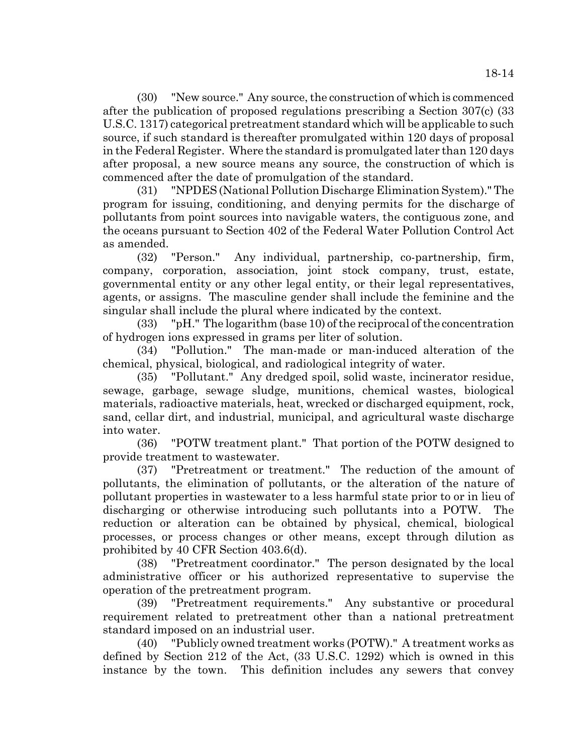18-14

(30) "New source." Any source, the construction of which is commenced after the publication of proposed regulations prescribing a Section 307(c) (33 U.S.C. 1317) categorical pretreatment standard which will be applicable to such source, if such standard is thereafter promulgated within 120 days of proposal in the Federal Register. Where the standard is promulgated later than 120 days after proposal, a new source means any source, the construction of which is commenced after the date of promulgation of the standard.

(31) "NPDES (National Pollution Discharge Elimination System)." The program for issuing, conditioning, and denying permits for the discharge of pollutants from point sources into navigable waters, the contiguous zone, and the oceans pursuant to Section 402 of the Federal Water Pollution Control Act as amended.

(32) "Person." Any individual, partnership, co-partnership, firm, company, corporation, association, joint stock company, trust, estate, governmental entity or any other legal entity, or their legal representatives, agents, or assigns. The masculine gender shall include the feminine and the singular shall include the plural where indicated by the context.

(33) "pH." The logarithm (base 10) of the reciprocal of the concentration of hydrogen ions expressed in grams per liter of solution.

(34) "Pollution." The man-made or man-induced alteration of the chemical, physical, biological, and radiological integrity of water.

(35) "Pollutant." Any dredged spoil, solid waste, incinerator residue, sewage, garbage, sewage sludge, munitions, chemical wastes, biological materials, radioactive materials, heat, wrecked or discharged equipment, rock, sand, cellar dirt, and industrial, municipal, and agricultural waste discharge into water.

(36) "POTW treatment plant." That portion of the POTW designed to provide treatment to wastewater.

(37) "Pretreatment or treatment." The reduction of the amount of pollutants, the elimination of pollutants, or the alteration of the nature of pollutant properties in wastewater to a less harmful state prior to or in lieu of discharging or otherwise introducing such pollutants into a POTW. The reduction or alteration can be obtained by physical, chemical, biological processes, or process changes or other means, except through dilution as prohibited by 40 CFR Section 403.6(d).

(38) "Pretreatment coordinator." The person designated by the local administrative officer or his authorized representative to supervise the operation of the pretreatment program.

(39) "Pretreatment requirements." Any substantive or procedural requirement related to pretreatment other than a national pretreatment standard imposed on an industrial user.

(40) "Publicly owned treatment works (POTW)." A treatment works as defined by Section 212 of the Act, (33 U.S.C. 1292) which is owned in this instance by the town. This definition includes any sewers that convey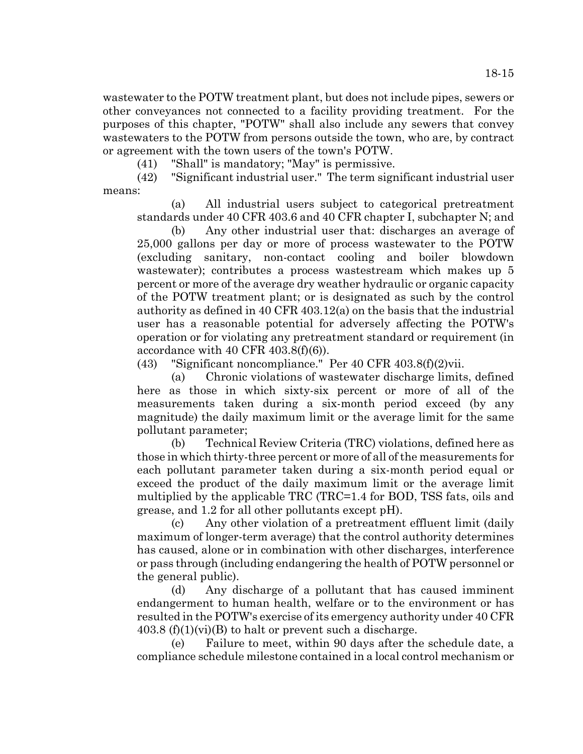wastewater to the POTW treatment plant, but does not include pipes, sewers or other conveyances not connected to a facility providing treatment. For the purposes of this chapter, "POTW" shall also include any sewers that convey wastewaters to the POTW from persons outside the town, who are, by contract or agreement with the town users of the town's POTW.

(41) "Shall" is mandatory; "May" is permissive.

(42) "Significant industrial user." The term significant industrial user means:

(a) All industrial users subject to categorical pretreatment standards under 40 CFR 403.6 and 40 CFR chapter I, subchapter N; and

(b) Any other industrial user that: discharges an average of 25,000 gallons per day or more of process wastewater to the POTW (excluding sanitary, non-contact cooling and boiler blowdown wastewater); contributes a process wastestream which makes up 5 percent or more of the average dry weather hydraulic or organic capacity of the POTW treatment plant; or is designated as such by the control authority as defined in 40 CFR 403.12(a) on the basis that the industrial user has a reasonable potential for adversely affecting the POTW's operation or for violating any pretreatment standard or requirement (in accordance with 40 CFR  $403.8(f)(6)$ ).

(43) "Significant noncompliance." Per 40 CFR 403.8(f)(2)vii.

(a) Chronic violations of wastewater discharge limits, defined here as those in which sixty-six percent or more of all of the measurements taken during a six-month period exceed (by any magnitude) the daily maximum limit or the average limit for the same pollutant parameter;

(b) Technical Review Criteria (TRC) violations, defined here as those in which thirty-three percent or more of all of the measurements for each pollutant parameter taken during a six-month period equal or exceed the product of the daily maximum limit or the average limit multiplied by the applicable TRC (TRC=1.4 for BOD, TSS fats, oils and grease, and 1.2 for all other pollutants except pH).

(c) Any other violation of a pretreatment effluent limit (daily maximum of longer-term average) that the control authority determines has caused, alone or in combination with other discharges, interference or pass through (including endangering the health of POTW personnel or the general public).

(d) Any discharge of a pollutant that has caused imminent endangerment to human health, welfare or to the environment or has resulted in the POTW's exercise of its emergency authority under 40 CFR  $403.8$  (f)(1)(vi)(B) to halt or prevent such a discharge.

(e) Failure to meet, within 90 days after the schedule date, a compliance schedule milestone contained in a local control mechanism or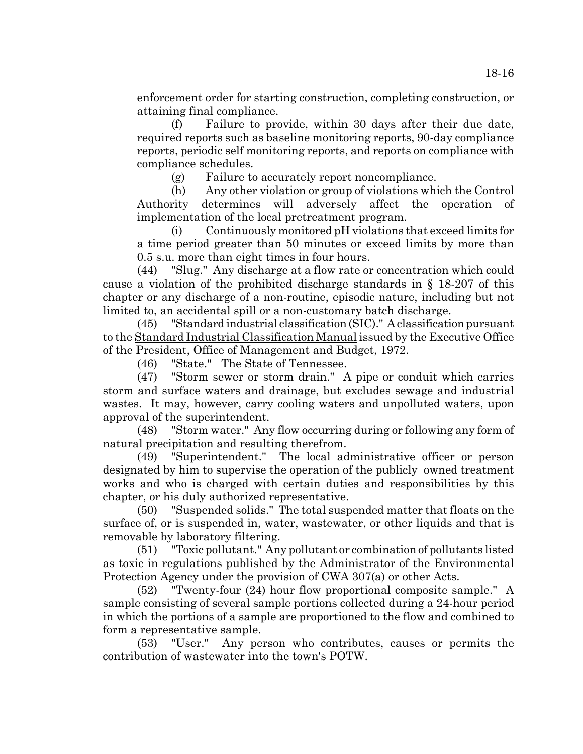enforcement order for starting construction, completing construction, or attaining final compliance.

(f) Failure to provide, within 30 days after their due date, required reports such as baseline monitoring reports, 90-day compliance reports, periodic self monitoring reports, and reports on compliance with compliance schedules.

(g) Failure to accurately report noncompliance.

(h) Any other violation or group of violations which the Control Authority determines will adversely affect the operation of implementation of the local pretreatment program.

(i) Continuously monitored pH violations that exceed limits for a time period greater than 50 minutes or exceed limits by more than 0.5 s.u. more than eight times in four hours.

(44) "Slug." Any discharge at a flow rate or concentration which could cause a violation of the prohibited discharge standards in § 18-207 of this chapter or any discharge of a non-routine, episodic nature, including but not limited to, an accidental spill or a non-customary batch discharge.

(45) "Standard industrial classification (SIC)." A classification pursuant to the Standard Industrial Classification Manual issued by the Executive Office of the President, Office of Management and Budget, 1972.

(46) "State." The State of Tennessee.

(47) "Storm sewer or storm drain." A pipe or conduit which carries storm and surface waters and drainage, but excludes sewage and industrial wastes. It may, however, carry cooling waters and unpolluted waters, upon approval of the superintendent.

(48) "Storm water." Any flow occurring during or following any form of natural precipitation and resulting therefrom.

(49) "Superintendent." The local administrative officer or person designated by him to supervise the operation of the publicly owned treatment works and who is charged with certain duties and responsibilities by this chapter, or his duly authorized representative.

(50) "Suspended solids." The total suspended matter that floats on the surface of, or is suspended in, water, wastewater, or other liquids and that is removable by laboratory filtering.

(51) "Toxic pollutant." Any pollutant or combination of pollutants listed as toxic in regulations published by the Administrator of the Environmental Protection Agency under the provision of CWA 307(a) or other Acts.

(52) "Twenty-four (24) hour flow proportional composite sample." A sample consisting of several sample portions collected during a 24-hour period in which the portions of a sample are proportioned to the flow and combined to form a representative sample.

(53) "User." Any person who contributes, causes or permits the contribution of wastewater into the town's POTW.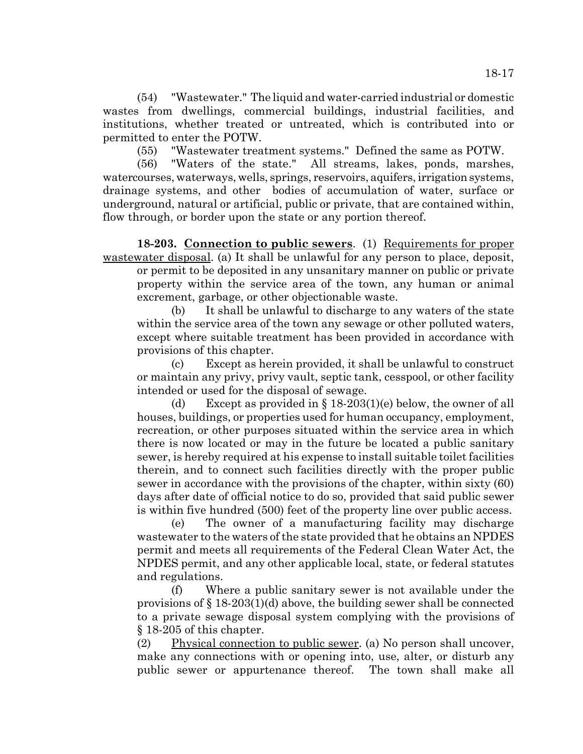(54) "Wastewater." The liquid and water-carried industrial or domestic wastes from dwellings, commercial buildings, industrial facilities, and institutions, whether treated or untreated, which is contributed into or permitted to enter the POTW.

(55) "Wastewater treatment systems." Defined the same as POTW.

(56) "Waters of the state." All streams, lakes, ponds, marshes, watercourses, waterways, wells, springs, reservoirs, aquifers, irrigation systems, drainage systems, and other bodies of accumulation of water, surface or underground, natural or artificial, public or private, that are contained within, flow through, or border upon the state or any portion thereof.

**18-203. Connection to public sewers**. (1) Requirements for proper wastewater disposal. (a) It shall be unlawful for any person to place, deposit,

or permit to be deposited in any unsanitary manner on public or private property within the service area of the town, any human or animal excrement, garbage, or other objectionable waste.

(b) It shall be unlawful to discharge to any waters of the state within the service area of the town any sewage or other polluted waters, except where suitable treatment has been provided in accordance with provisions of this chapter.

(c) Except as herein provided, it shall be unlawful to construct or maintain any privy, privy vault, septic tank, cesspool, or other facility intended or used for the disposal of sewage.

(d) Except as provided in  $\S 18-203(1)$ (e) below, the owner of all houses, buildings, or properties used for human occupancy, employment, recreation, or other purposes situated within the service area in which there is now located or may in the future be located a public sanitary sewer, is hereby required at his expense to install suitable toilet facilities therein, and to connect such facilities directly with the proper public sewer in accordance with the provisions of the chapter, within sixty (60) days after date of official notice to do so, provided that said public sewer is within five hundred (500) feet of the property line over public access.

(e) The owner of a manufacturing facility may discharge wastewater to the waters of the state provided that he obtains an NPDES permit and meets all requirements of the Federal Clean Water Act, the NPDES permit, and any other applicable local, state, or federal statutes and regulations.

(f) Where a public sanitary sewer is not available under the provisions of § 18-203(1)(d) above, the building sewer shall be connected to a private sewage disposal system complying with the provisions of § 18-205 of this chapter.

(2) Physical connection to public sewer. (a) No person shall uncover, make any connections with or opening into, use, alter, or disturb any public sewer or appurtenance thereof. The town shall make all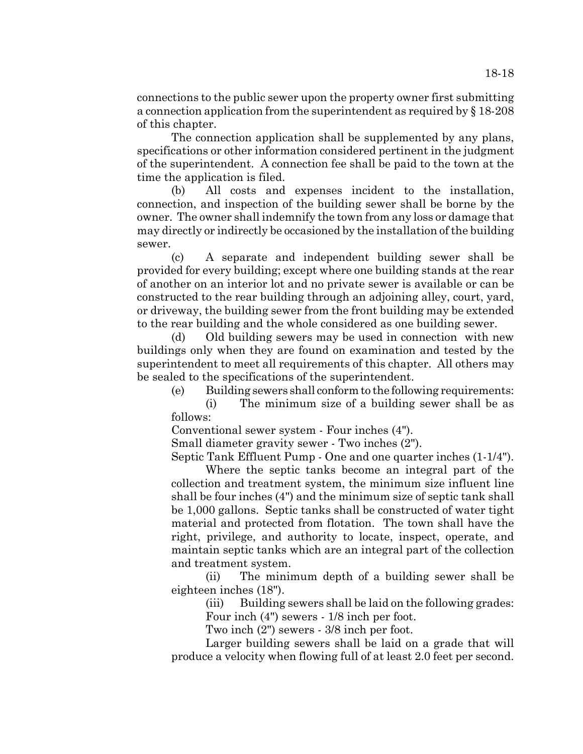connections to the public sewer upon the property owner first submitting a connection application from the superintendent as required by § 18-208 of this chapter.

The connection application shall be supplemented by any plans, specifications or other information considered pertinent in the judgment of the superintendent. A connection fee shall be paid to the town at the time the application is filed.

(b) All costs and expenses incident to the installation, connection, and inspection of the building sewer shall be borne by the owner. The owner shall indemnify the town from any loss or damage that may directly or indirectly be occasioned by the installation of the building sewer.

(c) A separate and independent building sewer shall be provided for every building; except where one building stands at the rear of another on an interior lot and no private sewer is available or can be constructed to the rear building through an adjoining alley, court, yard, or driveway, the building sewer from the front building may be extended to the rear building and the whole considered as one building sewer.

(d) Old building sewers may be used in connection with new buildings only when they are found on examination and tested by the superintendent to meet all requirements of this chapter. All others may be sealed to the specifications of the superintendent.

(e) Building sewers shall conform to the following requirements:

(i) The minimum size of a building sewer shall be as follows:

Conventional sewer system - Four inches (4").

Small diameter gravity sewer - Two inches (2").

Septic Tank Effluent Pump - One and one quarter inches (1-1/4").

Where the septic tanks become an integral part of the collection and treatment system, the minimum size influent line shall be four inches (4") and the minimum size of septic tank shall be 1,000 gallons. Septic tanks shall be constructed of water tight material and protected from flotation. The town shall have the right, privilege, and authority to locate, inspect, operate, and maintain septic tanks which are an integral part of the collection and treatment system.

(ii) The minimum depth of a building sewer shall be eighteen inches (18").

(iii) Building sewers shall be laid on the following grades: Four inch (4") sewers - 1/8 inch per foot.

Two inch (2") sewers - 3/8 inch per foot.

Larger building sewers shall be laid on a grade that will produce a velocity when flowing full of at least 2.0 feet per second.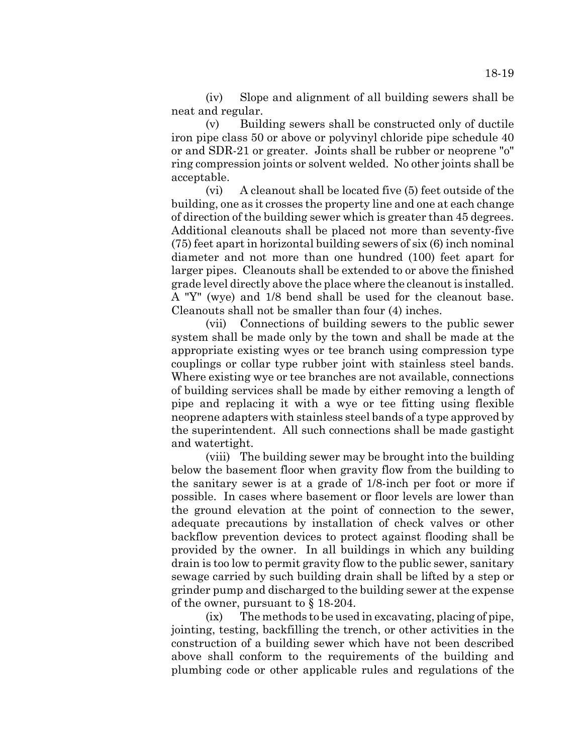(iv) Slope and alignment of all building sewers shall be neat and regular.

(v) Building sewers shall be constructed only of ductile iron pipe class 50 or above or polyvinyl chloride pipe schedule 40 or and SDR-21 or greater. Joints shall be rubber or neoprene "o" ring compression joints or solvent welded. No other joints shall be acceptable.

(vi) A cleanout shall be located five (5) feet outside of the building, one as it crosses the property line and one at each change of direction of the building sewer which is greater than 45 degrees. Additional cleanouts shall be placed not more than seventy-five (75) feet apart in horizontal building sewers of six (6) inch nominal diameter and not more than one hundred (100) feet apart for larger pipes. Cleanouts shall be extended to or above the finished grade level directly above the place where the cleanout is installed. A "Y" (wye) and 1/8 bend shall be used for the cleanout base. Cleanouts shall not be smaller than four (4) inches.

(vii) Connections of building sewers to the public sewer system shall be made only by the town and shall be made at the appropriate existing wyes or tee branch using compression type couplings or collar type rubber joint with stainless steel bands. Where existing wye or tee branches are not available, connections of building services shall be made by either removing a length of pipe and replacing it with a wye or tee fitting using flexible neoprene adapters with stainless steel bands of a type approved by the superintendent. All such connections shall be made gastight and watertight.

(viii) The building sewer may be brought into the building below the basement floor when gravity flow from the building to the sanitary sewer is at a grade of 1/8-inch per foot or more if possible. In cases where basement or floor levels are lower than the ground elevation at the point of connection to the sewer, adequate precautions by installation of check valves or other backflow prevention devices to protect against flooding shall be provided by the owner. In all buildings in which any building drain is too low to permit gravity flow to the public sewer, sanitary sewage carried by such building drain shall be lifted by a step or grinder pump and discharged to the building sewer at the expense of the owner, pursuant to § 18-204.

(ix) The methods to be used in excavating, placing of pipe, jointing, testing, backfilling the trench, or other activities in the construction of a building sewer which have not been described above shall conform to the requirements of the building and plumbing code or other applicable rules and regulations of the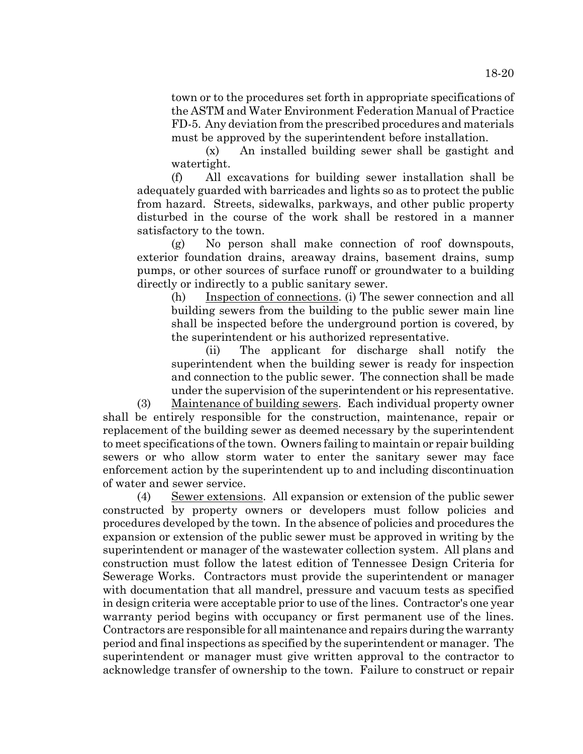town or to the procedures set forth in appropriate specifications of the ASTM and Water Environment Federation Manual of Practice FD-5. Any deviation from the prescribed procedures and materials must be approved by the superintendent before installation.

(x) An installed building sewer shall be gastight and watertight.

(f) All excavations for building sewer installation shall be adequately guarded with barricades and lights so as to protect the public from hazard. Streets, sidewalks, parkways, and other public property disturbed in the course of the work shall be restored in a manner satisfactory to the town.

(g) No person shall make connection of roof downspouts, exterior foundation drains, areaway drains, basement drains, sump pumps, or other sources of surface runoff or groundwater to a building directly or indirectly to a public sanitary sewer.

(h) Inspection of connections. (i) The sewer connection and all building sewers from the building to the public sewer main line shall be inspected before the underground portion is covered, by the superintendent or his authorized representative.

(ii) The applicant for discharge shall notify the superintendent when the building sewer is ready for inspection and connection to the public sewer. The connection shall be made under the supervision of the superintendent or his representative.

(3) Maintenance of building sewers. Each individual property owner shall be entirely responsible for the construction, maintenance, repair or replacement of the building sewer as deemed necessary by the superintendent to meet specifications of the town. Owners failing to maintain or repair building sewers or who allow storm water to enter the sanitary sewer may face enforcement action by the superintendent up to and including discontinuation of water and sewer service.

(4) Sewer extensions. All expansion or extension of the public sewer constructed by property owners or developers must follow policies and procedures developed by the town. In the absence of policies and procedures the expansion or extension of the public sewer must be approved in writing by the superintendent or manager of the wastewater collection system. All plans and construction must follow the latest edition of Tennessee Design Criteria for Sewerage Works. Contractors must provide the superintendent or manager with documentation that all mandrel, pressure and vacuum tests as specified in design criteria were acceptable prior to use of the lines. Contractor's one year warranty period begins with occupancy or first permanent use of the lines. Contractors are responsible for all maintenance and repairs during the warranty period and final inspections as specified by the superintendent or manager. The superintendent or manager must give written approval to the contractor to acknowledge transfer of ownership to the town. Failure to construct or repair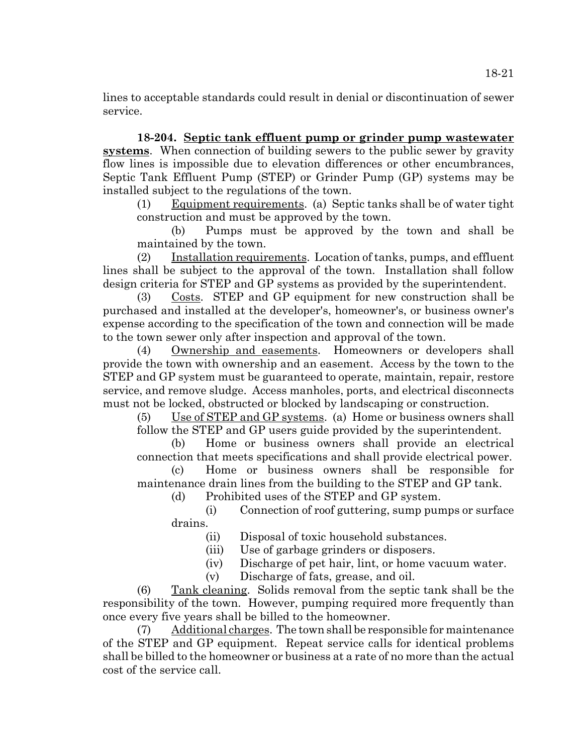lines to acceptable standards could result in denial or discontinuation of sewer service.

**18-204. Septic tank effluent pump or grinder pump wastewater systems**. When connection of building sewers to the public sewer by gravity flow lines is impossible due to elevation differences or other encumbrances, Septic Tank Effluent Pump (STEP) or Grinder Pump (GP) systems may be installed subject to the regulations of the town.

(1) Equipment requirements. (a) Septic tanks shall be of water tight construction and must be approved by the town.

(b) Pumps must be approved by the town and shall be maintained by the town.

(2) Installation requirements. Location of tanks, pumps, and effluent lines shall be subject to the approval of the town. Installation shall follow design criteria for STEP and GP systems as provided by the superintendent.

(3) Costs. STEP and GP equipment for new construction shall be purchased and installed at the developer's, homeowner's, or business owner's expense according to the specification of the town and connection will be made to the town sewer only after inspection and approval of the town.

(4) Ownership and easements. Homeowners or developers shall provide the town with ownership and an easement. Access by the town to the STEP and GP system must be guaranteed to operate, maintain, repair, restore service, and remove sludge. Access manholes, ports, and electrical disconnects must not be locked, obstructed or blocked by landscaping or construction.

(5) Use of STEP and GP systems. (a) Home or business owners shall follow the STEP and GP users guide provided by the superintendent.

(b) Home or business owners shall provide an electrical connection that meets specifications and shall provide electrical power.

(c) Home or business owners shall be responsible for maintenance drain lines from the building to the STEP and GP tank.

(d) Prohibited uses of the STEP and GP system.

(i) Connection of roof guttering, sump pumps or surface drains.

(ii) Disposal of toxic household substances.

(iii) Use of garbage grinders or disposers.

(iv) Discharge of pet hair, lint, or home vacuum water.

(v) Discharge of fats, grease, and oil.

(6) Tank cleaning. Solids removal from the septic tank shall be the responsibility of the town. However, pumping required more frequently than once every five years shall be billed to the homeowner.

(7) Additional charges. The town shall be responsible for maintenance of the STEP and GP equipment. Repeat service calls for identical problems shall be billed to the homeowner or business at a rate of no more than the actual cost of the service call.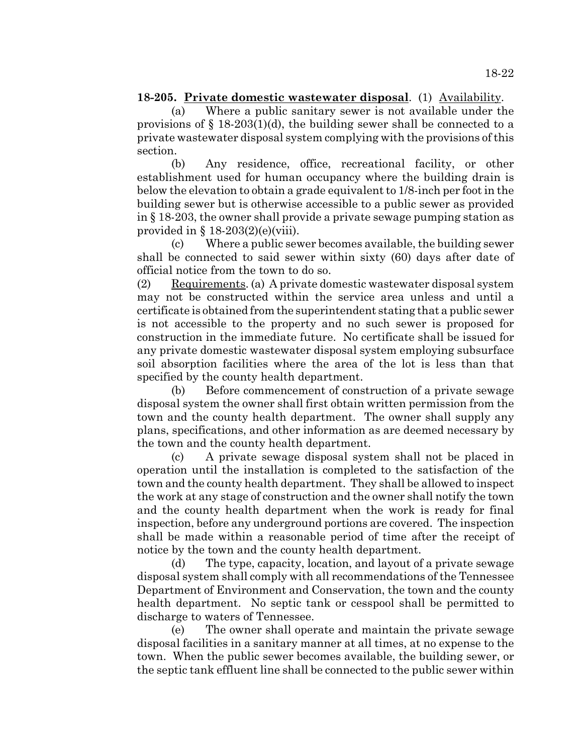### **18-205. Private domestic wastewater disposal**. (1) Availability.

(a) Where a public sanitary sewer is not available under the provisions of  $\S 18-203(1)(d)$ , the building sewer shall be connected to a private wastewater disposal system complying with the provisions of this section.

(b) Any residence, office, recreational facility, or other establishment used for human occupancy where the building drain is below the elevation to obtain a grade equivalent to 1/8-inch per foot in the building sewer but is otherwise accessible to a public sewer as provided in § 18-203, the owner shall provide a private sewage pumping station as provided in  $\S$  18-203(2)(e)(viii).

(c) Where a public sewer becomes available, the building sewer shall be connected to said sewer within sixty (60) days after date of official notice from the town to do so.

(2) Requirements. (a) A private domestic wastewater disposal system may not be constructed within the service area unless and until a certificate is obtained from the superintendent stating that a public sewer is not accessible to the property and no such sewer is proposed for construction in the immediate future. No certificate shall be issued for any private domestic wastewater disposal system employing subsurface soil absorption facilities where the area of the lot is less than that specified by the county health department.

(b) Before commencement of construction of a private sewage disposal system the owner shall first obtain written permission from the town and the county health department. The owner shall supply any plans, specifications, and other information as are deemed necessary by the town and the county health department.

(c) A private sewage disposal system shall not be placed in operation until the installation is completed to the satisfaction of the town and the county health department. They shall be allowed to inspect the work at any stage of construction and the owner shall notify the town and the county health department when the work is ready for final inspection, before any underground portions are covered. The inspection shall be made within a reasonable period of time after the receipt of notice by the town and the county health department.

(d) The type, capacity, location, and layout of a private sewage disposal system shall comply with all recommendations of the Tennessee Department of Environment and Conservation, the town and the county health department. No septic tank or cesspool shall be permitted to discharge to waters of Tennessee.

(e) The owner shall operate and maintain the private sewage disposal facilities in a sanitary manner at all times, at no expense to the town. When the public sewer becomes available, the building sewer, or the septic tank effluent line shall be connected to the public sewer within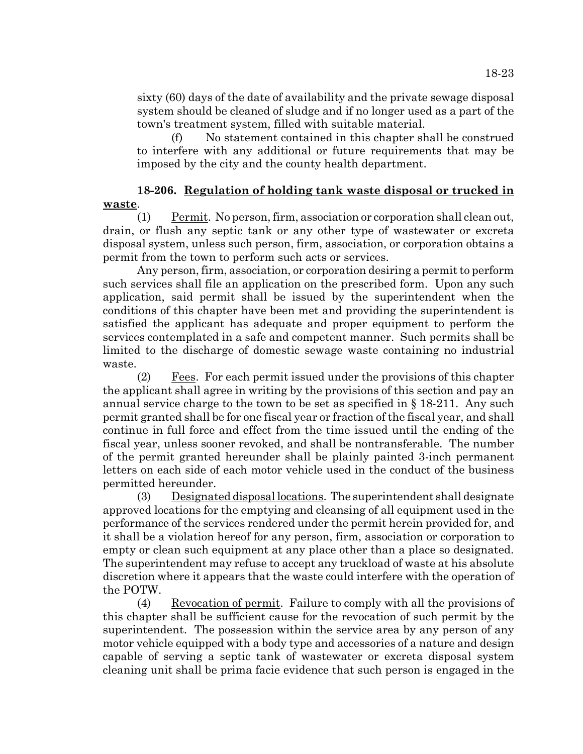sixty (60) days of the date of availability and the private sewage disposal system should be cleaned of sludge and if no longer used as a part of the town's treatment system, filled with suitable material.

(f) No statement contained in this chapter shall be construed to interfere with any additional or future requirements that may be imposed by the city and the county health department.

# **18-206. Regulation of holding tank waste disposal or trucked in waste**.

(1) Permit. No person, firm, association or corporation shall clean out, drain, or flush any septic tank or any other type of wastewater or excreta disposal system, unless such person, firm, association, or corporation obtains a permit from the town to perform such acts or services.

Any person, firm, association, or corporation desiring a permit to perform such services shall file an application on the prescribed form. Upon any such application, said permit shall be issued by the superintendent when the conditions of this chapter have been met and providing the superintendent is satisfied the applicant has adequate and proper equipment to perform the services contemplated in a safe and competent manner. Such permits shall be limited to the discharge of domestic sewage waste containing no industrial waste.

(2) Fees. For each permit issued under the provisions of this chapter the applicant shall agree in writing by the provisions of this section and pay an annual service charge to the town to be set as specified in  $\S 18-211$ . Any such permit granted shall be for one fiscal year or fraction of the fiscal year, and shall continue in full force and effect from the time issued until the ending of the fiscal year, unless sooner revoked, and shall be nontransferable. The number of the permit granted hereunder shall be plainly painted 3-inch permanent letters on each side of each motor vehicle used in the conduct of the business permitted hereunder.

(3) Designated disposal locations. The superintendent shall designate approved locations for the emptying and cleansing of all equipment used in the performance of the services rendered under the permit herein provided for, and it shall be a violation hereof for any person, firm, association or corporation to empty or clean such equipment at any place other than a place so designated. The superintendent may refuse to accept any truckload of waste at his absolute discretion where it appears that the waste could interfere with the operation of the POTW.

(4) Revocation of permit. Failure to comply with all the provisions of this chapter shall be sufficient cause for the revocation of such permit by the superintendent. The possession within the service area by any person of any motor vehicle equipped with a body type and accessories of a nature and design capable of serving a septic tank of wastewater or excreta disposal system cleaning unit shall be prima facie evidence that such person is engaged in the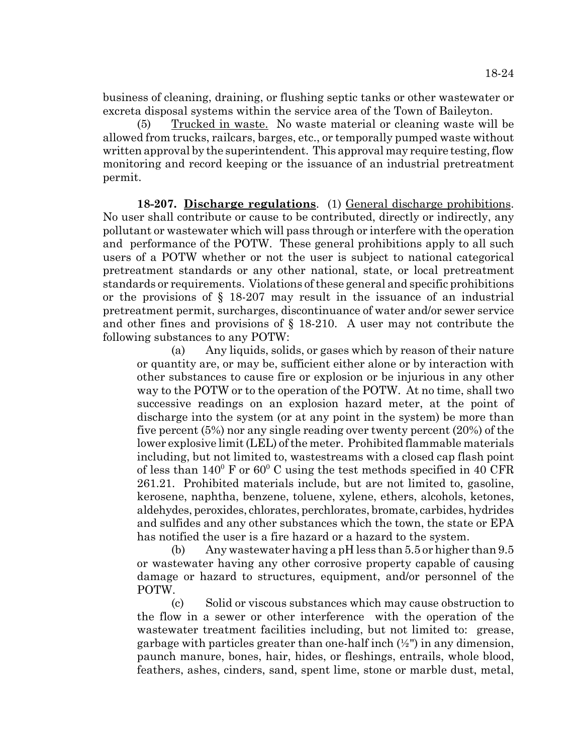business of cleaning, draining, or flushing septic tanks or other wastewater or excreta disposal systems within the service area of the Town of Baileyton.

(5) Trucked in waste. No waste material or cleaning waste will be allowed from trucks, railcars, barges, etc., or temporally pumped waste without written approval by the superintendent. This approval may require testing, flow monitoring and record keeping or the issuance of an industrial pretreatment permit.

**18-207. Discharge regulations**. (1) General discharge prohibitions. No user shall contribute or cause to be contributed, directly or indirectly, any pollutant or wastewater which will pass through or interfere with the operation and performance of the POTW. These general prohibitions apply to all such users of a POTW whether or not the user is subject to national categorical pretreatment standards or any other national, state, or local pretreatment standards or requirements. Violations of these general and specific prohibitions or the provisions of § 18-207 may result in the issuance of an industrial pretreatment permit, surcharges, discontinuance of water and/or sewer service and other fines and provisions of § 18-210. A user may not contribute the following substances to any POTW:

(a) Any liquids, solids, or gases which by reason of their nature or quantity are, or may be, sufficient either alone or by interaction with other substances to cause fire or explosion or be injurious in any other way to the POTW or to the operation of the POTW. At no time, shall two successive readings on an explosion hazard meter, at the point of discharge into the system (or at any point in the system) be more than five percent (5%) nor any single reading over twenty percent (20%) of the lower explosive limit (LEL) of the meter. Prohibited flammable materials including, but not limited to, wastestreams with a closed cap flash point of less than  $140^{\circ}$  F or  $60^{\circ}$  C using the test methods specified in 40 CFR 261.21. Prohibited materials include, but are not limited to, gasoline, kerosene, naphtha, benzene, toluene, xylene, ethers, alcohols, ketones, aldehydes, peroxides, chlorates, perchlorates, bromate, carbides, hydrides and sulfides and any other substances which the town, the state or EPA has notified the user is a fire hazard or a hazard to the system.

(b) Any wastewater having a pH less than 5.5 or higher than 9.5 or wastewater having any other corrosive property capable of causing damage or hazard to structures, equipment, and/or personnel of the POTW.

(c) Solid or viscous substances which may cause obstruction to the flow in a sewer or other interference with the operation of the wastewater treatment facilities including, but not limited to: grease, garbage with particles greater than one-half inch (½") in any dimension, paunch manure, bones, hair, hides, or fleshings, entrails, whole blood, feathers, ashes, cinders, sand, spent lime, stone or marble dust, metal,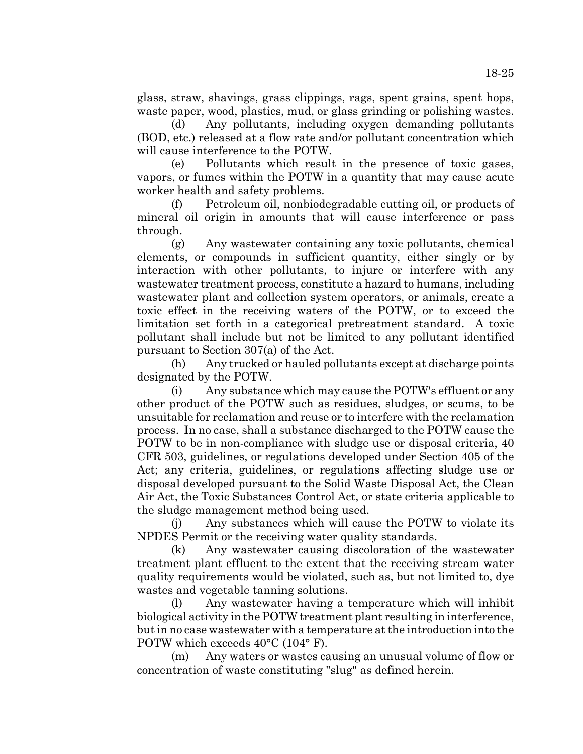glass, straw, shavings, grass clippings, rags, spent grains, spent hops, waste paper, wood, plastics, mud, or glass grinding or polishing wastes.

(d) Any pollutants, including oxygen demanding pollutants (BOD, etc.) released at a flow rate and/or pollutant concentration which will cause interference to the POTW.

(e) Pollutants which result in the presence of toxic gases, vapors, or fumes within the POTW in a quantity that may cause acute worker health and safety problems.

(f) Petroleum oil, nonbiodegradable cutting oil, or products of mineral oil origin in amounts that will cause interference or pass through.

(g) Any wastewater containing any toxic pollutants, chemical elements, or compounds in sufficient quantity, either singly or by interaction with other pollutants, to injure or interfere with any wastewater treatment process, constitute a hazard to humans, including wastewater plant and collection system operators, or animals, create a toxic effect in the receiving waters of the POTW, or to exceed the limitation set forth in a categorical pretreatment standard. A toxic pollutant shall include but not be limited to any pollutant identified pursuant to Section 307(a) of the Act.

(h) Any trucked or hauled pollutants except at discharge points designated by the POTW.

(i) Any substance which may cause the POTW's effluent or any other product of the POTW such as residues, sludges, or scums, to be unsuitable for reclamation and reuse or to interfere with the reclamation process. In no case, shall a substance discharged to the POTW cause the POTW to be in non-compliance with sludge use or disposal criteria, 40 CFR 503, guidelines, or regulations developed under Section 405 of the Act; any criteria, guidelines, or regulations affecting sludge use or disposal developed pursuant to the Solid Waste Disposal Act, the Clean Air Act, the Toxic Substances Control Act, or state criteria applicable to the sludge management method being used.

(j) Any substances which will cause the POTW to violate its NPDES Permit or the receiving water quality standards.

(k) Any wastewater causing discoloration of the wastewater treatment plant effluent to the extent that the receiving stream water quality requirements would be violated, such as, but not limited to, dye wastes and vegetable tanning solutions.

(l) Any wastewater having a temperature which will inhibit biological activity in the POTW treatment plant resulting in interference, but in no case wastewater with a temperature at the introduction into the POTW which exceeds 40°C (104° F).

(m) Any waters or wastes causing an unusual volume of flow or concentration of waste constituting "slug" as defined herein.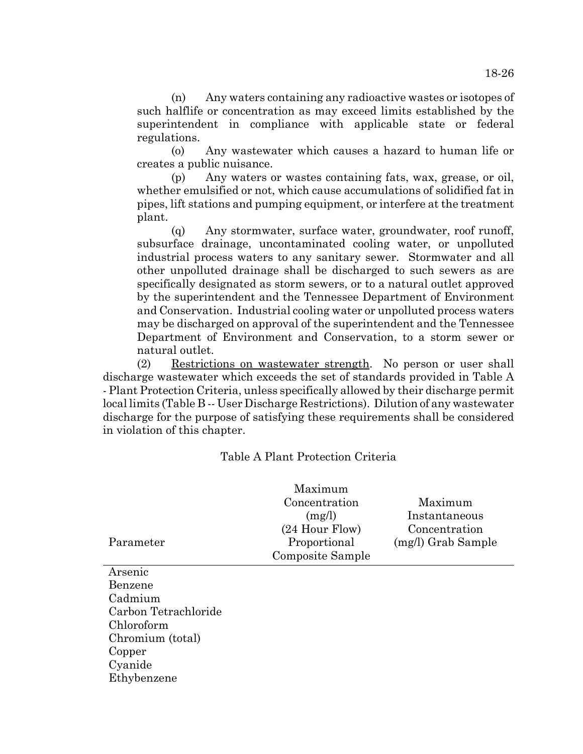(n) Any waters containing any radioactive wastes or isotopes of such halflife or concentration as may exceed limits established by the superintendent in compliance with applicable state or federal regulations.

(o) Any wastewater which causes a hazard to human life or creates a public nuisance.

(p) Any waters or wastes containing fats, wax, grease, or oil, whether emulsified or not, which cause accumulations of solidified fat in pipes, lift stations and pumping equipment, or interfere at the treatment plant.

(q) Any stormwater, surface water, groundwater, roof runoff, subsurface drainage, uncontaminated cooling water, or unpolluted industrial process waters to any sanitary sewer. Stormwater and all other unpolluted drainage shall be discharged to such sewers as are specifically designated as storm sewers, or to a natural outlet approved by the superintendent and the Tennessee Department of Environment and Conservation. Industrial cooling water or unpolluted process waters may be discharged on approval of the superintendent and the Tennessee Department of Environment and Conservation, to a storm sewer or natural outlet.

(2) Restrictions on wastewater strength. No person or user shall discharge wastewater which exceeds the set of standards provided in Table A - Plant Protection Criteria, unless specifically allowed by their discharge permit local limits (Table B -- User Discharge Restrictions). Dilution of any wastewater discharge for the purpose of satisfying these requirements shall be considered in violation of this chapter.

# Table A Plant Protection Criteria

| Parameter          | Maximum<br>Concentration<br>(mg/l)<br>$(24$ Hour Flow)<br>Proportional<br>Composite Sample | Maximum<br>Instantaneous<br>Concentration<br>(mg/l) Grab Sample |
|--------------------|--------------------------------------------------------------------------------------------|-----------------------------------------------------------------|
| Arsenic<br>Benzene |                                                                                            |                                                                 |

Cadmium Carbon Tetrachloride Chloroform Chromium (total) Copper Cyanide Ethybenzene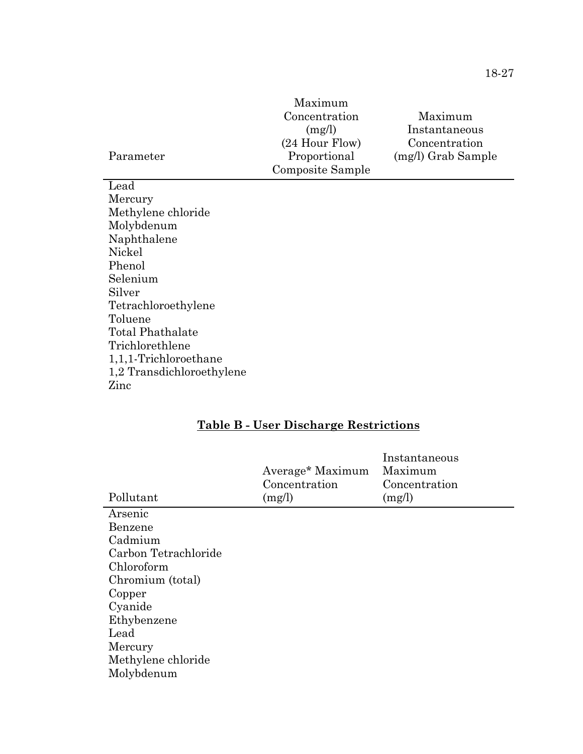|           | Maximum          |                    |
|-----------|------------------|--------------------|
|           | Concentration    | Maximum            |
|           | (mg/l)           | Instantaneous      |
|           | $(24$ Hour Flow) | Concentration      |
| Parameter | Proportional     | (mg/l) Grab Sample |
|           | Composite Sample |                    |

Lead Mercury Methylene chloride Molybdenum Naphthalene Nickel Phenol Selenium Silver Tetrachloroethylene Toluene Total Phathalate Trichlorethlene 1,1,1-Trichloroethane 1,2 Transdichloroethylene Zinc

l,

# **Table B - User Discharge Restrictions**

| Pollutant            | Average* Maximum<br>Concentration<br>(mg/l) | Instantaneous<br>Maximum<br>Concentration<br>(mg/l) |
|----------------------|---------------------------------------------|-----------------------------------------------------|
| Arsenic              |                                             |                                                     |
| Benzene              |                                             |                                                     |
| Cadmium              |                                             |                                                     |
| Carbon Tetrachloride |                                             |                                                     |
| Chloroform           |                                             |                                                     |
| Chromium (total)     |                                             |                                                     |
| Copper               |                                             |                                                     |
| Cyanide              |                                             |                                                     |
| Ethybenzene          |                                             |                                                     |
| Lead                 |                                             |                                                     |
| Mercury              |                                             |                                                     |
| Methylene chloride   |                                             |                                                     |
| Molybdenum           |                                             |                                                     |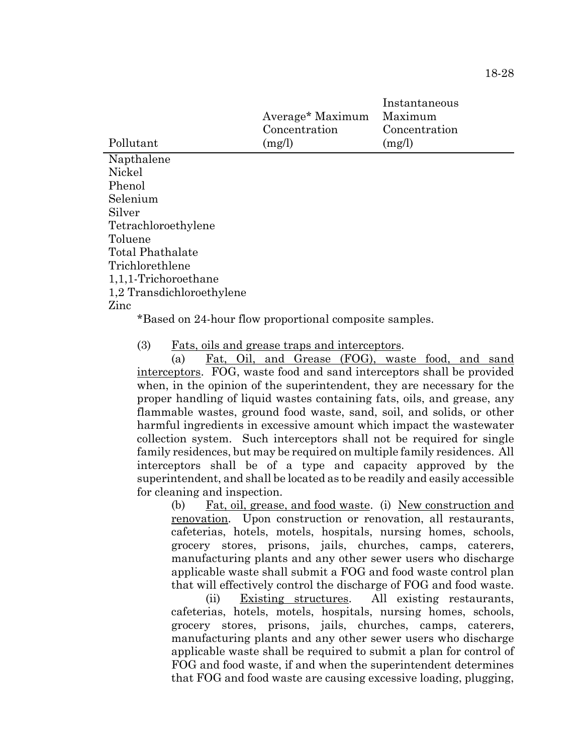| Pollutant                                                                                                                                                                                                                                                                                                                      | Average* Maximum<br>Concentration<br>(mg/l) | Instantaneous<br>Maximum<br>Concentration<br>(mg/l) |
|--------------------------------------------------------------------------------------------------------------------------------------------------------------------------------------------------------------------------------------------------------------------------------------------------------------------------------|---------------------------------------------|-----------------------------------------------------|
|                                                                                                                                                                                                                                                                                                                                |                                             |                                                     |
| Napthalene                                                                                                                                                                                                                                                                                                                     |                                             |                                                     |
| Nickel                                                                                                                                                                                                                                                                                                                         |                                             |                                                     |
| Phenol                                                                                                                                                                                                                                                                                                                         |                                             |                                                     |
| Selenium                                                                                                                                                                                                                                                                                                                       |                                             |                                                     |
| Silver                                                                                                                                                                                                                                                                                                                         |                                             |                                                     |
| Tetrachloroethylene                                                                                                                                                                                                                                                                                                            |                                             |                                                     |
| Toluene                                                                                                                                                                                                                                                                                                                        |                                             |                                                     |
| Total Phathalate                                                                                                                                                                                                                                                                                                               |                                             |                                                     |
| Trichlorethlene                                                                                                                                                                                                                                                                                                                |                                             |                                                     |
| $1,1,1$ -Trichoroethane                                                                                                                                                                                                                                                                                                        |                                             |                                                     |
| 1,2 Transdichloroethylene                                                                                                                                                                                                                                                                                                      |                                             |                                                     |
| Zinc                                                                                                                                                                                                                                                                                                                           |                                             |                                                     |
| $\sqrt{2}$ $\sqrt{2}$ $\sqrt{2}$ $\sqrt{2}$ $\sqrt{2}$ $\sqrt{2}$ $\sqrt{2}$ $\sqrt{2}$ $\sqrt{2}$ $\sqrt{2}$ $\sqrt{2}$ $\sqrt{2}$ $\sqrt{2}$ $\sqrt{2}$ $\sqrt{2}$ $\sqrt{2}$ $\sqrt{2}$ $\sqrt{2}$ $\sqrt{2}$ $\sqrt{2}$ $\sqrt{2}$ $\sqrt{2}$ $\sqrt{2}$ $\sqrt{2}$ $\sqrt{2}$ $\sqrt{2}$ $\sqrt{2}$ $\sqrt{2$<br>$\sigma$ |                                             |                                                     |

\*Based on 24-hour flow proportional composite samples.

(3) Fats, oils and grease traps and interceptors.

(a) Fat, Oil, and Grease (FOG), waste food, and sand interceptors. FOG, waste food and sand interceptors shall be provided when, in the opinion of the superintendent, they are necessary for the proper handling of liquid wastes containing fats, oils, and grease, any flammable wastes, ground food waste, sand, soil, and solids, or other harmful ingredients in excessive amount which impact the wastewater collection system. Such interceptors shall not be required for single family residences, but may be required on multiple family residences. All interceptors shall be of a type and capacity approved by the superintendent, and shall be located as to be readily and easily accessible for cleaning and inspection.

(b) Fat, oil, grease, and food waste. (i) New construction and renovation. Upon construction or renovation, all restaurants, cafeterias, hotels, motels, hospitals, nursing homes, schools, grocery stores, prisons, jails, churches, camps, caterers, manufacturing plants and any other sewer users who discharge applicable waste shall submit a FOG and food waste control plan that will effectively control the discharge of FOG and food waste.

(ii) Existing structures. All existing restaurants, cafeterias, hotels, motels, hospitals, nursing homes, schools, grocery stores, prisons, jails, churches, camps, caterers, manufacturing plants and any other sewer users who discharge applicable waste shall be required to submit a plan for control of FOG and food waste, if and when the superintendent determines that FOG and food waste are causing excessive loading, plugging,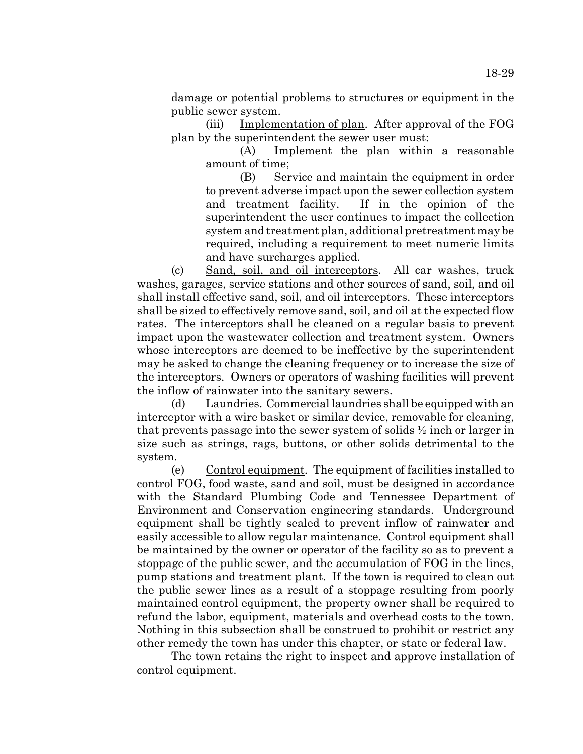damage or potential problems to structures or equipment in the public sewer system.

(iii) Implementation of plan. After approval of the FOG plan by the superintendent the sewer user must:

> (A) Implement the plan within a reasonable amount of time;

> (B) Service and maintain the equipment in order to prevent adverse impact upon the sewer collection system and treatment facility. If in the opinion of the superintendent the user continues to impact the collection system and treatment plan, additional pretreatment may be required, including a requirement to meet numeric limits and have surcharges applied.

(c) Sand, soil, and oil interceptors. All car washes, truck washes, garages, service stations and other sources of sand, soil, and oil shall install effective sand, soil, and oil interceptors. These interceptors shall be sized to effectively remove sand, soil, and oil at the expected flow rates. The interceptors shall be cleaned on a regular basis to prevent impact upon the wastewater collection and treatment system. Owners whose interceptors are deemed to be ineffective by the superintendent may be asked to change the cleaning frequency or to increase the size of the interceptors. Owners or operators of washing facilities will prevent the inflow of rainwater into the sanitary sewers.

(d) Laundries. Commercial laundries shall be equipped with an interceptor with a wire basket or similar device, removable for cleaning, that prevents passage into the sewer system of solids  $\frac{1}{2}$  inch or larger in size such as strings, rags, buttons, or other solids detrimental to the system.

(e) Control equipment. The equipment of facilities installed to control FOG, food waste, sand and soil, must be designed in accordance with the Standard Plumbing Code and Tennessee Department of Environment and Conservation engineering standards. Underground equipment shall be tightly sealed to prevent inflow of rainwater and easily accessible to allow regular maintenance. Control equipment shall be maintained by the owner or operator of the facility so as to prevent a stoppage of the public sewer, and the accumulation of FOG in the lines, pump stations and treatment plant. If the town is required to clean out the public sewer lines as a result of a stoppage resulting from poorly maintained control equipment, the property owner shall be required to refund the labor, equipment, materials and overhead costs to the town. Nothing in this subsection shall be construed to prohibit or restrict any other remedy the town has under this chapter, or state or federal law.

The town retains the right to inspect and approve installation of control equipment.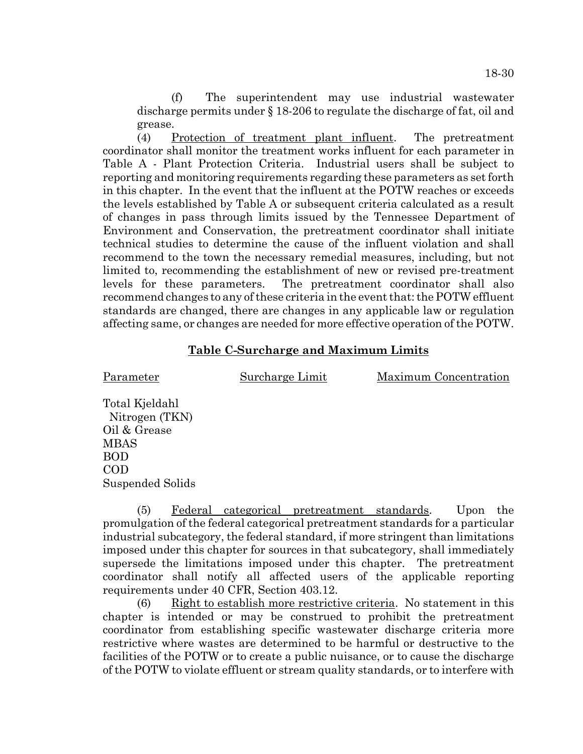(f) The superintendent may use industrial wastewater discharge permits under § 18-206 to regulate the discharge of fat, oil and grease.

(4) Protection of treatment plant influent. The pretreatment coordinator shall monitor the treatment works influent for each parameter in Table A - Plant Protection Criteria. Industrial users shall be subject to reporting and monitoring requirements regarding these parameters as set forth in this chapter. In the event that the influent at the POTW reaches or exceeds the levels established by Table A or subsequent criteria calculated as a result of changes in pass through limits issued by the Tennessee Department of Environment and Conservation, the pretreatment coordinator shall initiate technical studies to determine the cause of the influent violation and shall recommend to the town the necessary remedial measures, including, but not limited to, recommending the establishment of new or revised pre-treatment levels for these parameters. The pretreatment coordinator shall also recommend changes to any of these criteria in the event that: the POTW effluent standards are changed, there are changes in any applicable law or regulation affecting same, or changes are needed for more effective operation of the POTW.

# **Table C-Surcharge and Maximum Limits**

Parameter Surcharge Limit Maximum Concentration

Total Kjeldahl Nitrogen (TKN) Oil & Grease MBAS BOD COD Suspended Solids

(5) Federal categorical pretreatment standards. Upon the promulgation of the federal categorical pretreatment standards for a particular industrial subcategory, the federal standard, if more stringent than limitations imposed under this chapter for sources in that subcategory, shall immediately supersede the limitations imposed under this chapter. The pretreatment coordinator shall notify all affected users of the applicable reporting requirements under 40 CFR, Section 403.12.

(6) Right to establish more restrictive criteria. No statement in this chapter is intended or may be construed to prohibit the pretreatment coordinator from establishing specific wastewater discharge criteria more restrictive where wastes are determined to be harmful or destructive to the facilities of the POTW or to create a public nuisance, or to cause the discharge of the POTW to violate effluent or stream quality standards, or to interfere with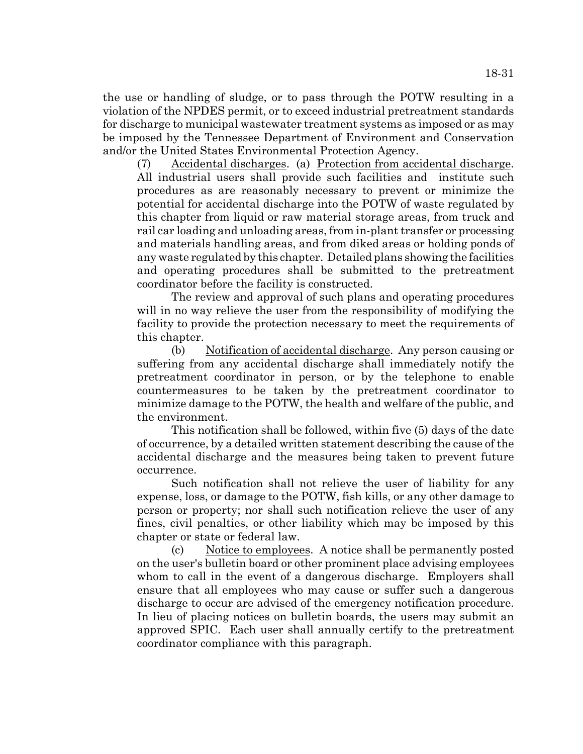the use or handling of sludge, or to pass through the POTW resulting in a violation of the NPDES permit, or to exceed industrial pretreatment standards for discharge to municipal wastewater treatment systems as imposed or as may be imposed by the Tennessee Department of Environment and Conservation and/or the United States Environmental Protection Agency.

(7) Accidental discharges. (a) Protection from accidental discharge. All industrial users shall provide such facilities and institute such procedures as are reasonably necessary to prevent or minimize the potential for accidental discharge into the POTW of waste regulated by this chapter from liquid or raw material storage areas, from truck and rail car loading and unloading areas, from in-plant transfer or processing and materials handling areas, and from diked areas or holding ponds of any waste regulated by this chapter. Detailed plans showing the facilities and operating procedures shall be submitted to the pretreatment coordinator before the facility is constructed.

The review and approval of such plans and operating procedures will in no way relieve the user from the responsibility of modifying the facility to provide the protection necessary to meet the requirements of this chapter.

(b) Notification of accidental discharge. Any person causing or suffering from any accidental discharge shall immediately notify the pretreatment coordinator in person, or by the telephone to enable countermeasures to be taken by the pretreatment coordinator to minimize damage to the POTW, the health and welfare of the public, and the environment.

This notification shall be followed, within five (5) days of the date of occurrence, by a detailed written statement describing the cause of the accidental discharge and the measures being taken to prevent future occurrence.

Such notification shall not relieve the user of liability for any expense, loss, or damage to the POTW, fish kills, or any other damage to person or property; nor shall such notification relieve the user of any fines, civil penalties, or other liability which may be imposed by this chapter or state or federal law.

(c) Notice to employees. A notice shall be permanently posted on the user's bulletin board or other prominent place advising employees whom to call in the event of a dangerous discharge. Employers shall ensure that all employees who may cause or suffer such a dangerous discharge to occur are advised of the emergency notification procedure. In lieu of placing notices on bulletin boards, the users may submit an approved SPIC. Each user shall annually certify to the pretreatment coordinator compliance with this paragraph.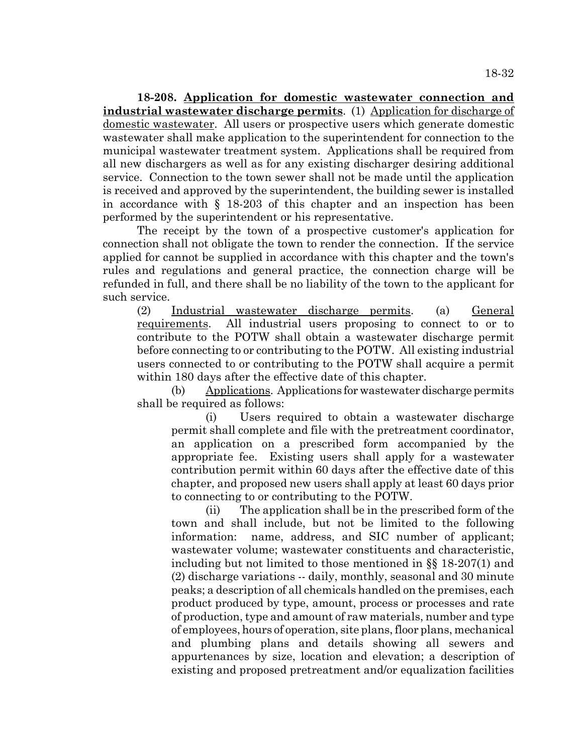**18-208. Application for domestic wastewater connection and industrial wastewater discharge permits**. (1) Application for discharge of domestic wastewater. All users or prospective users which generate domestic wastewater shall make application to the superintendent for connection to the municipal wastewater treatment system. Applications shall be required from all new dischargers as well as for any existing discharger desiring additional service. Connection to the town sewer shall not be made until the application is received and approved by the superintendent, the building sewer is installed in accordance with § 18-203 of this chapter and an inspection has been performed by the superintendent or his representative.

The receipt by the town of a prospective customer's application for connection shall not obligate the town to render the connection. If the service applied for cannot be supplied in accordance with this chapter and the town's rules and regulations and general practice, the connection charge will be refunded in full, and there shall be no liability of the town to the applicant for such service.

(2) Industrial wastewater discharge permits. (a) General requirements. All industrial users proposing to connect to or to contribute to the POTW shall obtain a wastewater discharge permit before connecting to or contributing to the POTW. All existing industrial users connected to or contributing to the POTW shall acquire a permit within 180 days after the effective date of this chapter.

(b) Applications. Applications for wastewater discharge permits shall be required as follows:

(i) Users required to obtain a wastewater discharge permit shall complete and file with the pretreatment coordinator, an application on a prescribed form accompanied by the appropriate fee. Existing users shall apply for a wastewater contribution permit within 60 days after the effective date of this chapter, and proposed new users shall apply at least 60 days prior to connecting to or contributing to the POTW.

(ii) The application shall be in the prescribed form of the town and shall include, but not be limited to the following information: name, address, and SIC number of applicant; wastewater volume; wastewater constituents and characteristic, including but not limited to those mentioned in §§ 18-207(1) and (2) discharge variations -- daily, monthly, seasonal and 30 minute peaks; a description of all chemicals handled on the premises, each product produced by type, amount, process or processes and rate of production, type and amount of raw materials, number and type of employees, hours of operation, site plans, floor plans, mechanical and plumbing plans and details showing all sewers and appurtenances by size, location and elevation; a description of existing and proposed pretreatment and/or equalization facilities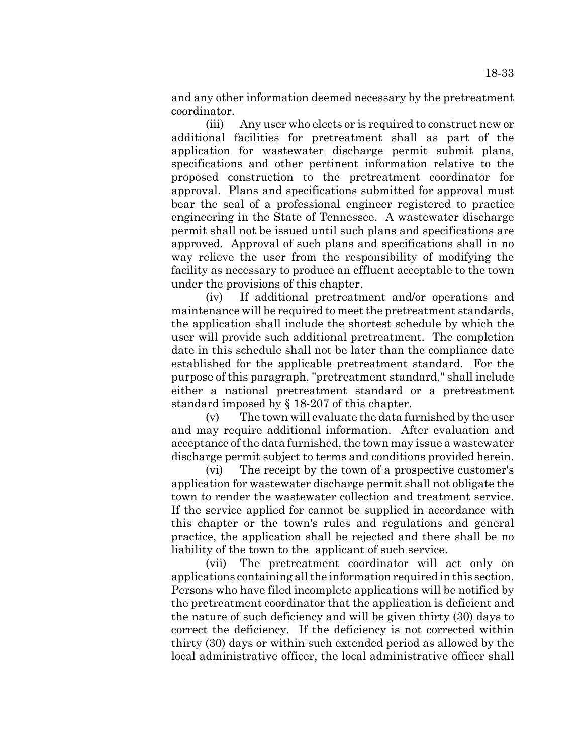and any other information deemed necessary by the pretreatment coordinator.

(iii) Any user who elects or is required to construct new or additional facilities for pretreatment shall as part of the application for wastewater discharge permit submit plans, specifications and other pertinent information relative to the proposed construction to the pretreatment coordinator for approval. Plans and specifications submitted for approval must bear the seal of a professional engineer registered to practice engineering in the State of Tennessee. A wastewater discharge permit shall not be issued until such plans and specifications are approved. Approval of such plans and specifications shall in no way relieve the user from the responsibility of modifying the facility as necessary to produce an effluent acceptable to the town under the provisions of this chapter.

(iv) If additional pretreatment and/or operations and maintenance will be required to meet the pretreatment standards, the application shall include the shortest schedule by which the user will provide such additional pretreatment. The completion date in this schedule shall not be later than the compliance date established for the applicable pretreatment standard. For the purpose of this paragraph, "pretreatment standard," shall include either a national pretreatment standard or a pretreatment standard imposed by § 18-207 of this chapter.

(v) The town will evaluate the data furnished by the user and may require additional information. After evaluation and acceptance of the data furnished, the town may issue a wastewater discharge permit subject to terms and conditions provided herein.

(vi) The receipt by the town of a prospective customer's application for wastewater discharge permit shall not obligate the town to render the wastewater collection and treatment service. If the service applied for cannot be supplied in accordance with this chapter or the town's rules and regulations and general practice, the application shall be rejected and there shall be no liability of the town to the applicant of such service.

(vii) The pretreatment coordinator will act only on applications containing all the information required in this section. Persons who have filed incomplete applications will be notified by the pretreatment coordinator that the application is deficient and the nature of such deficiency and will be given thirty (30) days to correct the deficiency. If the deficiency is not corrected within thirty (30) days or within such extended period as allowed by the local administrative officer, the local administrative officer shall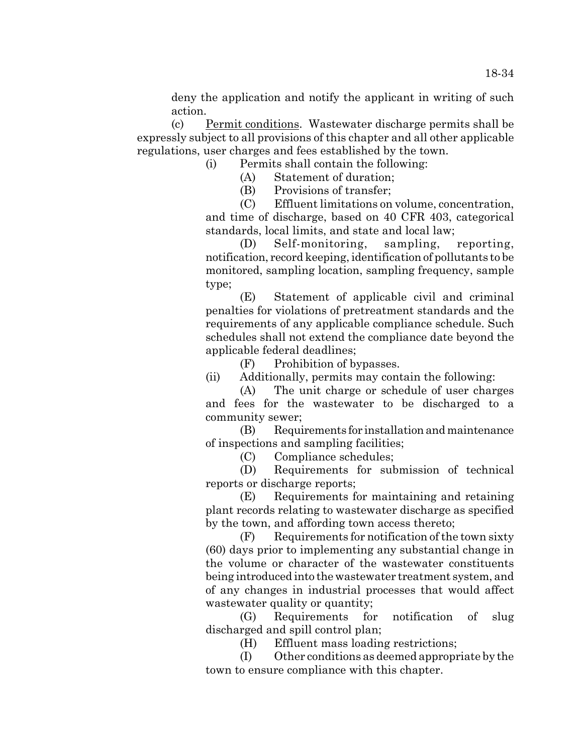deny the application and notify the applicant in writing of such action.

(c) Permit conditions. Wastewater discharge permits shall be expressly subject to all provisions of this chapter and all other applicable regulations, user charges and fees established by the town.

(i) Permits shall contain the following:

(A) Statement of duration;

(B) Provisions of transfer;

(C) Effluent limitations on volume, concentration, and time of discharge, based on 40 CFR 403, categorical standards, local limits, and state and local law;

(D) Self-monitoring, sampling, reporting, notification, record keeping, identification of pollutants to be monitored, sampling location, sampling frequency, sample type;

(E) Statement of applicable civil and criminal penalties for violations of pretreatment standards and the requirements of any applicable compliance schedule. Such schedules shall not extend the compliance date beyond the applicable federal deadlines;

(F) Prohibition of bypasses.

(ii) Additionally, permits may contain the following:

(A) The unit charge or schedule of user charges and fees for the wastewater to be discharged to a community sewer;

(B) Requirements for installation and maintenance of inspections and sampling facilities;

(C) Compliance schedules;

(D) Requirements for submission of technical reports or discharge reports;

(E) Requirements for maintaining and retaining plant records relating to wastewater discharge as specified by the town, and affording town access thereto;

(F) Requirements for notification of the town sixty (60) days prior to implementing any substantial change in the volume or character of the wastewater constituents being introduced into the wastewater treatment system, and of any changes in industrial processes that would affect wastewater quality or quantity;

(G) Requirements for notification of slug discharged and spill control plan;

(H) Effluent mass loading restrictions;

(I) Other conditions as deemed appropriate by the town to ensure compliance with this chapter.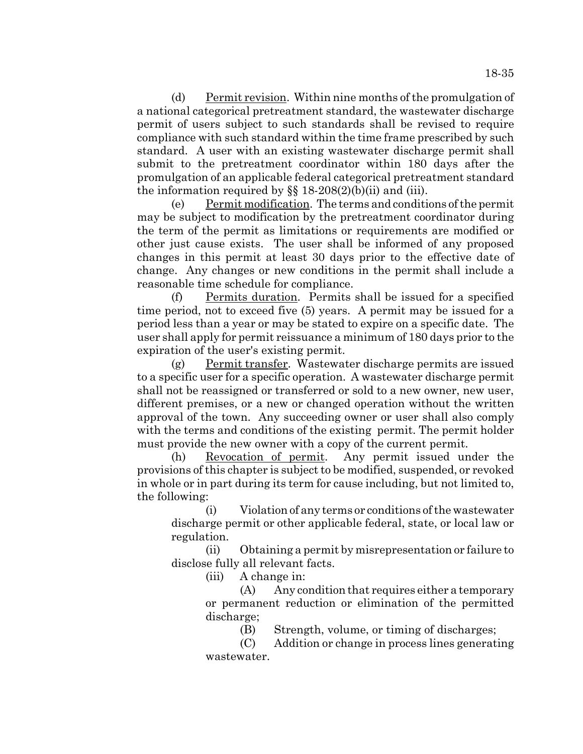(d) Permit revision. Within nine months of the promulgation of a national categorical pretreatment standard, the wastewater discharge permit of users subject to such standards shall be revised to require

compliance with such standard within the time frame prescribed by such standard. A user with an existing wastewater discharge permit shall submit to the pretreatment coordinator within 180 days after the promulgation of an applicable federal categorical pretreatment standard the information required by  $\S$  18-208(2)(b)(ii) and (iii).

(e) Permit modification. The terms and conditions of the permit may be subject to modification by the pretreatment coordinator during the term of the permit as limitations or requirements are modified or other just cause exists. The user shall be informed of any proposed changes in this permit at least 30 days prior to the effective date of change. Any changes or new conditions in the permit shall include a reasonable time schedule for compliance.

(f) Permits duration. Permits shall be issued for a specified time period, not to exceed five (5) years. A permit may be issued for a period less than a year or may be stated to expire on a specific date. The user shall apply for permit reissuance a minimum of 180 days prior to the expiration of the user's existing permit.

(g) Permit transfer. Wastewater discharge permits are issued to a specific user for a specific operation. A wastewater discharge permit shall not be reassigned or transferred or sold to a new owner, new user, different premises, or a new or changed operation without the written approval of the town. Any succeeding owner or user shall also comply with the terms and conditions of the existing permit. The permit holder must provide the new owner with a copy of the current permit.

(h) Revocation of permit. Any permit issued under the provisions of this chapter is subject to be modified, suspended, or revoked in whole or in part during its term for cause including, but not limited to, the following:

(i) Violation of any terms or conditions of the wastewater discharge permit or other applicable federal, state, or local law or regulation.

(ii) Obtaining a permit by misrepresentation or failure to disclose fully all relevant facts.

(iii) A change in:

(A) Any condition that requires either a temporary or permanent reduction or elimination of the permitted discharge;

(B) Strength, volume, or timing of discharges;

(C) Addition or change in process lines generating wastewater.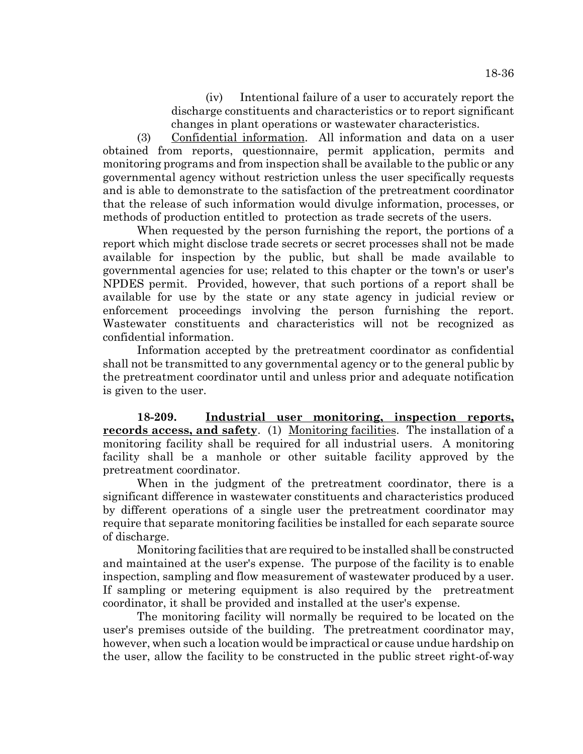(iv) Intentional failure of a user to accurately report the discharge constituents and characteristics or to report significant changes in plant operations or wastewater characteristics.

(3) Confidential information. All information and data on a user obtained from reports, questionnaire, permit application, permits and monitoring programs and from inspection shall be available to the public or any governmental agency without restriction unless the user specifically requests and is able to demonstrate to the satisfaction of the pretreatment coordinator that the release of such information would divulge information, processes, or methods of production entitled to protection as trade secrets of the users.

When requested by the person furnishing the report, the portions of a report which might disclose trade secrets or secret processes shall not be made available for inspection by the public, but shall be made available to governmental agencies for use; related to this chapter or the town's or user's NPDES permit. Provided, however, that such portions of a report shall be available for use by the state or any state agency in judicial review or enforcement proceedings involving the person furnishing the report. Wastewater constituents and characteristics will not be recognized as confidential information.

Information accepted by the pretreatment coordinator as confidential shall not be transmitted to any governmental agency or to the general public by the pretreatment coordinator until and unless prior and adequate notification is given to the user.

**18-209. Industrial user monitoring, inspection reports, records access, and safety**. (1) Monitoring facilities. The installation of a monitoring facility shall be required for all industrial users. A monitoring facility shall be a manhole or other suitable facility approved by the pretreatment coordinator.

When in the judgment of the pretreatment coordinator, there is a significant difference in wastewater constituents and characteristics produced by different operations of a single user the pretreatment coordinator may require that separate monitoring facilities be installed for each separate source of discharge.

Monitoring facilities that are required to be installed shall be constructed and maintained at the user's expense. The purpose of the facility is to enable inspection, sampling and flow measurement of wastewater produced by a user. If sampling or metering equipment is also required by the pretreatment coordinator, it shall be provided and installed at the user's expense.

The monitoring facility will normally be required to be located on the user's premises outside of the building. The pretreatment coordinator may, however, when such a location would be impractical or cause undue hardship on the user, allow the facility to be constructed in the public street right-of-way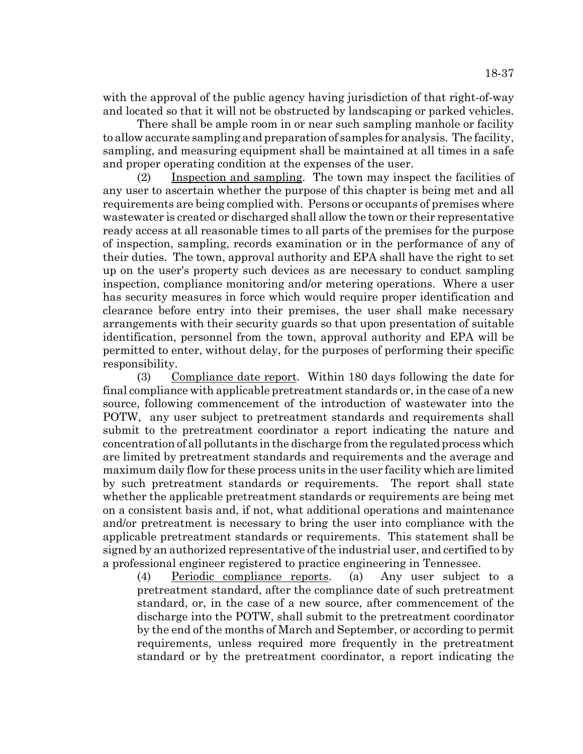with the approval of the public agency having jurisdiction of that right-of-way and located so that it will not be obstructed by landscaping or parked vehicles.

There shall be ample room in or near such sampling manhole or facility to allow accurate sampling and preparation of samples for analysis. The facility, sampling, and measuring equipment shall be maintained at all times in a safe and proper operating condition at the expenses of the user.

(2) Inspection and sampling. The town may inspect the facilities of any user to ascertain whether the purpose of this chapter is being met and all requirements are being complied with. Persons or occupants of premises where wastewater is created or discharged shall allow the town or their representative ready access at all reasonable times to all parts of the premises for the purpose of inspection, sampling, records examination or in the performance of any of their duties. The town, approval authority and EPA shall have the right to set up on the user's property such devices as are necessary to conduct sampling inspection, compliance monitoring and/or metering operations. Where a user has security measures in force which would require proper identification and clearance before entry into their premises, the user shall make necessary arrangements with their security guards so that upon presentation of suitable identification, personnel from the town, approval authority and EPA will be permitted to enter, without delay, for the purposes of performing their specific responsibility.

(3) Compliance date report. Within 180 days following the date for final compliance with applicable pretreatment standards or, in the case of a new source, following commencement of the introduction of wastewater into the POTW, any user subject to pretreatment standards and requirements shall submit to the pretreatment coordinator a report indicating the nature and concentration of all pollutants in the discharge from the regulated process which are limited by pretreatment standards and requirements and the average and maximum daily flow for these process units in the user facility which are limited by such pretreatment standards or requirements. The report shall state whether the applicable pretreatment standards or requirements are being met on a consistent basis and, if not, what additional operations and maintenance and/or pretreatment is necessary to bring the user into compliance with the applicable pretreatment standards or requirements. This statement shall be signed by an authorized representative of the industrial user, and certified to by a professional engineer registered to practice engineering in Tennessee.

(4) Periodic compliance reports. (a) Any user subject to a pretreatment standard, after the compliance date of such pretreatment standard, or, in the case of a new source, after commencement of the discharge into the POTW, shall submit to the pretreatment coordinator by the end of the months of March and September, or according to permit requirements, unless required more frequently in the pretreatment standard or by the pretreatment coordinator, a report indicating the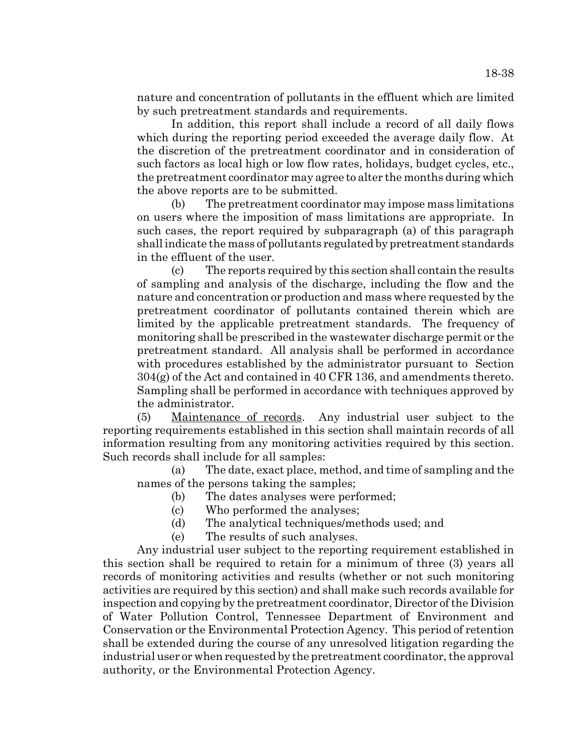nature and concentration of pollutants in the effluent which are limited by such pretreatment standards and requirements.

In addition, this report shall include a record of all daily flows which during the reporting period exceeded the average daily flow. At the discretion of the pretreatment coordinator and in consideration of such factors as local high or low flow rates, holidays, budget cycles, etc., the pretreatment coordinator may agree to alter the months during which the above reports are to be submitted.

(b) The pretreatment coordinator may impose mass limitations on users where the imposition of mass limitations are appropriate. In such cases, the report required by subparagraph (a) of this paragraph shall indicate the mass of pollutants regulated by pretreatment standards in the effluent of the user.

(c) The reports required by this section shall contain the results of sampling and analysis of the discharge, including the flow and the nature and concentration or production and mass where requested by the pretreatment coordinator of pollutants contained therein which are limited by the applicable pretreatment standards. The frequency of monitoring shall be prescribed in the wastewater discharge permit or the pretreatment standard. All analysis shall be performed in accordance with procedures established by the administrator pursuant to Section 304(g) of the Act and contained in 40 CFR 136, and amendments thereto. Sampling shall be performed in accordance with techniques approved by the administrator.

(5) Maintenance of records. Any industrial user subject to the reporting requirements established in this section shall maintain records of all information resulting from any monitoring activities required by this section. Such records shall include for all samples:

(a) The date, exact place, method, and time of sampling and the names of the persons taking the samples;

- (b) The dates analyses were performed;
- (c) Who performed the analyses;
- (d) The analytical techniques/methods used; and
- (e) The results of such analyses.

Any industrial user subject to the reporting requirement established in this section shall be required to retain for a minimum of three (3) years all records of monitoring activities and results (whether or not such monitoring activities are required by this section) and shall make such records available for inspection and copying by the pretreatment coordinator, Director of the Division of Water Pollution Control, Tennessee Department of Environment and Conservation or the Environmental Protection Agency. This period of retention shall be extended during the course of any unresolved litigation regarding the industrial user or when requested by the pretreatment coordinator, the approval authority, or the Environmental Protection Agency.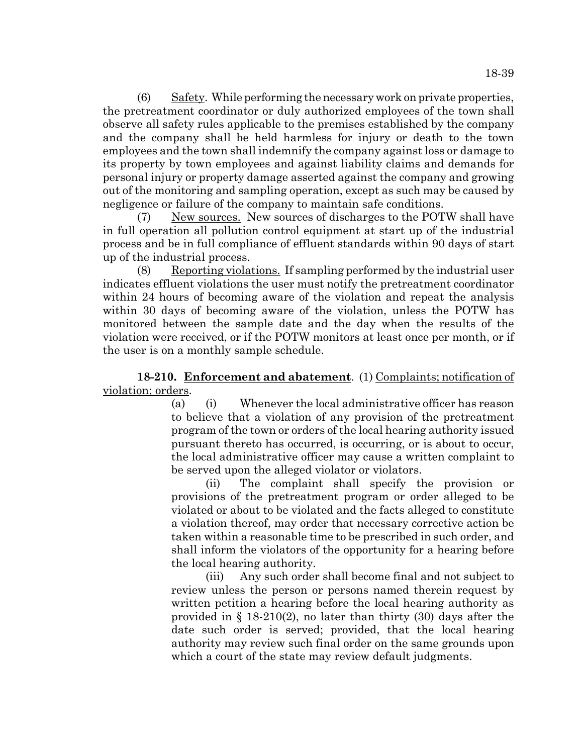(6) Safety. While performing the necessary work on private properties, the pretreatment coordinator or duly authorized employees of the town shall observe all safety rules applicable to the premises established by the company and the company shall be held harmless for injury or death to the town employees and the town shall indemnify the company against loss or damage to its property by town employees and against liability claims and demands for personal injury or property damage asserted against the company and growing out of the monitoring and sampling operation, except as such may be caused by negligence or failure of the company to maintain safe conditions.

(7) New sources. New sources of discharges to the POTW shall have in full operation all pollution control equipment at start up of the industrial process and be in full compliance of effluent standards within 90 days of start up of the industrial process.

(8) Reporting violations. If sampling performed by the industrial user indicates effluent violations the user must notify the pretreatment coordinator within 24 hours of becoming aware of the violation and repeat the analysis within 30 days of becoming aware of the violation, unless the POTW has monitored between the sample date and the day when the results of the violation were received, or if the POTW monitors at least once per month, or if the user is on a monthly sample schedule.

# **18-210. Enforcement and abatement**. (1) Complaints; notification of violation; orders.

(a) (i) Whenever the local administrative officer has reason to believe that a violation of any provision of the pretreatment program of the town or orders of the local hearing authority issued pursuant thereto has occurred, is occurring, or is about to occur, the local administrative officer may cause a written complaint to be served upon the alleged violator or violators.

(ii) The complaint shall specify the provision or provisions of the pretreatment program or order alleged to be violated or about to be violated and the facts alleged to constitute a violation thereof, may order that necessary corrective action be taken within a reasonable time to be prescribed in such order, and shall inform the violators of the opportunity for a hearing before the local hearing authority.

(iii) Any such order shall become final and not subject to review unless the person or persons named therein request by written petition a hearing before the local hearing authority as provided in § 18-210(2), no later than thirty (30) days after the date such order is served; provided, that the local hearing authority may review such final order on the same grounds upon which a court of the state may review default judgments.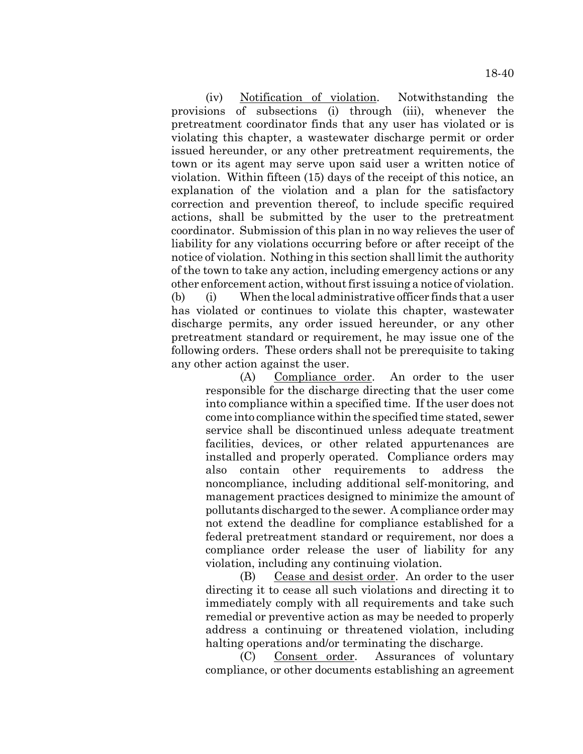(iv) Notification of violation. Notwithstanding the provisions of subsections (i) through (iii), whenever the pretreatment coordinator finds that any user has violated or is violating this chapter, a wastewater discharge permit or order issued hereunder, or any other pretreatment requirements, the town or its agent may serve upon said user a written notice of violation. Within fifteen (15) days of the receipt of this notice, an explanation of the violation and a plan for the satisfactory correction and prevention thereof, to include specific required actions, shall be submitted by the user to the pretreatment coordinator. Submission of this plan in no way relieves the user of liability for any violations occurring before or after receipt of the notice of violation. Nothing in this section shall limit the authority of the town to take any action, including emergency actions or any other enforcement action, without first issuing a notice of violation. (b) (i) When the local administrative officer finds that a user has violated or continues to violate this chapter, wastewater discharge permits, any order issued hereunder, or any other pretreatment standard or requirement, he may issue one of the following orders. These orders shall not be prerequisite to taking any other action against the user.

(A) Compliance order. An order to the user responsible for the discharge directing that the user come into compliance within a specified time. If the user does not come into compliance within the specified time stated, sewer service shall be discontinued unless adequate treatment facilities, devices, or other related appurtenances are installed and properly operated. Compliance orders may also contain other requirements to address the noncompliance, including additional self-monitoring, and management practices designed to minimize the amount of pollutants discharged to the sewer. A compliance order may not extend the deadline for compliance established for a federal pretreatment standard or requirement, nor does a compliance order release the user of liability for any violation, including any continuing violation.

(B) Cease and desist order. An order to the user directing it to cease all such violations and directing it to immediately comply with all requirements and take such remedial or preventive action as may be needed to properly address a continuing or threatened violation, including halting operations and/or terminating the discharge.

(C) Consent order. Assurances of voluntary compliance, or other documents establishing an agreement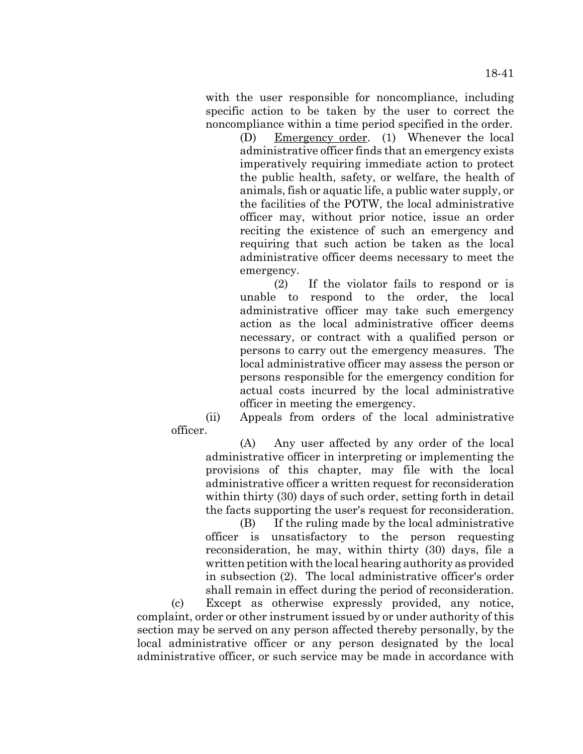with the user responsible for noncompliance, including specific action to be taken by the user to correct the noncompliance within a time period specified in the order.

> (D) Emergency order. (1) Whenever the local administrative officer finds that an emergency exists imperatively requiring immediate action to protect the public health, safety, or welfare, the health of animals, fish or aquatic life, a public water supply, or the facilities of the POTW, the local administrative officer may, without prior notice, issue an order reciting the existence of such an emergency and requiring that such action be taken as the local administrative officer deems necessary to meet the emergency.

> (2) If the violator fails to respond or is unable to respond to the order, the local administrative officer may take such emergency action as the local administrative officer deems necessary, or contract with a qualified person or persons to carry out the emergency measures. The local administrative officer may assess the person or persons responsible for the emergency condition for actual costs incurred by the local administrative officer in meeting the emergency.

(ii) Appeals from orders of the local administrative officer.

(A) Any user affected by any order of the local administrative officer in interpreting or implementing the provisions of this chapter, may file with the local administrative officer a written request for reconsideration within thirty (30) days of such order, setting forth in detail the facts supporting the user's request for reconsideration.

(B) If the ruling made by the local administrative officer is unsatisfactory to the person requesting reconsideration, he may, within thirty (30) days, file a written petition with the local hearing authority as provided in subsection (2). The local administrative officer's order shall remain in effect during the period of reconsideration.

(c) Except as otherwise expressly provided, any notice, complaint, order or other instrument issued by or under authority of this section may be served on any person affected thereby personally, by the local administrative officer or any person designated by the local administrative officer, or such service may be made in accordance with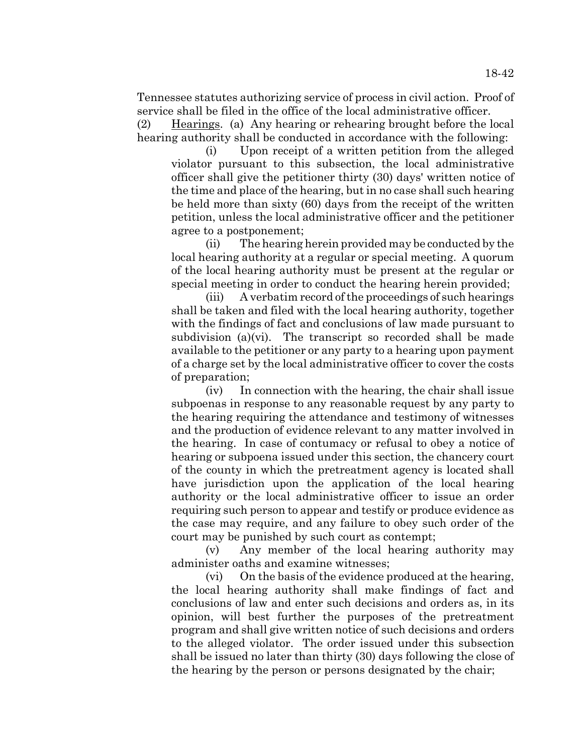Tennessee statutes authorizing service of process in civil action. Proof of service shall be filed in the office of the local administrative officer.

(2) Hearings. (a) Any hearing or rehearing brought before the local hearing authority shall be conducted in accordance with the following:

(i) Upon receipt of a written petition from the alleged violator pursuant to this subsection, the local administrative officer shall give the petitioner thirty (30) days' written notice of the time and place of the hearing, but in no case shall such hearing be held more than sixty (60) days from the receipt of the written petition, unless the local administrative officer and the petitioner agree to a postponement;

(ii) The hearing herein provided may be conducted by the local hearing authority at a regular or special meeting. A quorum of the local hearing authority must be present at the regular or special meeting in order to conduct the hearing herein provided;

(iii) A verbatim record of the proceedings of such hearings shall be taken and filed with the local hearing authority, together with the findings of fact and conclusions of law made pursuant to subdivision (a)(vi). The transcript so recorded shall be made available to the petitioner or any party to a hearing upon payment of a charge set by the local administrative officer to cover the costs of preparation;

(iv) In connection with the hearing, the chair shall issue subpoenas in response to any reasonable request by any party to the hearing requiring the attendance and testimony of witnesses and the production of evidence relevant to any matter involved in the hearing. In case of contumacy or refusal to obey a notice of hearing or subpoena issued under this section, the chancery court of the county in which the pretreatment agency is located shall have jurisdiction upon the application of the local hearing authority or the local administrative officer to issue an order requiring such person to appear and testify or produce evidence as the case may require, and any failure to obey such order of the court may be punished by such court as contempt;

(v) Any member of the local hearing authority may administer oaths and examine witnesses;

(vi) On the basis of the evidence produced at the hearing, the local hearing authority shall make findings of fact and conclusions of law and enter such decisions and orders as, in its opinion, will best further the purposes of the pretreatment program and shall give written notice of such decisions and orders to the alleged violator. The order issued under this subsection shall be issued no later than thirty (30) days following the close of the hearing by the person or persons designated by the chair;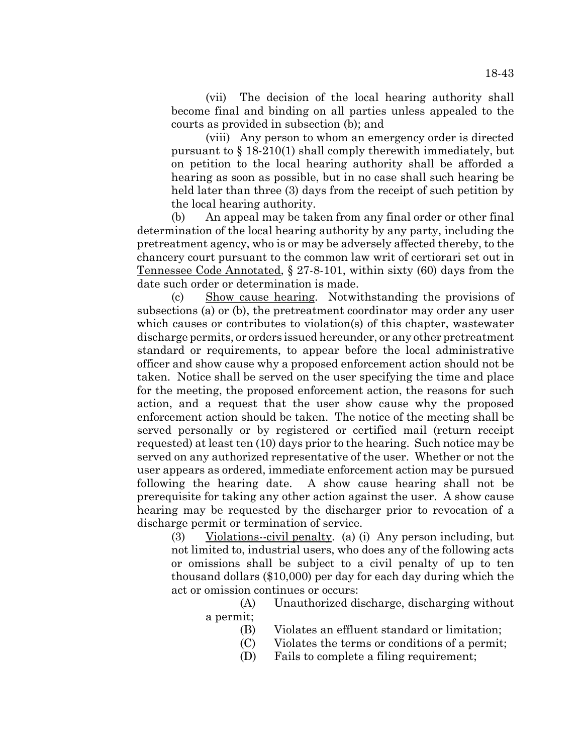(vii) The decision of the local hearing authority shall become final and binding on all parties unless appealed to the courts as provided in subsection (b); and

(viii) Any person to whom an emergency order is directed pursuant to § 18-210(1) shall comply therewith immediately, but on petition to the local hearing authority shall be afforded a hearing as soon as possible, but in no case shall such hearing be held later than three (3) days from the receipt of such petition by the local hearing authority.

(b) An appeal may be taken from any final order or other final determination of the local hearing authority by any party, including the pretreatment agency, who is or may be adversely affected thereby, to the chancery court pursuant to the common law writ of certiorari set out in Tennessee Code Annotated, § 27-8-101, within sixty (60) days from the date such order or determination is made.

(c) Show cause hearing. Notwithstanding the provisions of subsections (a) or (b), the pretreatment coordinator may order any user which causes or contributes to violation(s) of this chapter, wastewater discharge permits, or orders issued hereunder, or any other pretreatment standard or requirements, to appear before the local administrative officer and show cause why a proposed enforcement action should not be taken. Notice shall be served on the user specifying the time and place for the meeting, the proposed enforcement action, the reasons for such action, and a request that the user show cause why the proposed enforcement action should be taken. The notice of the meeting shall be served personally or by registered or certified mail (return receipt requested) at least ten (10) days prior to the hearing. Such notice may be served on any authorized representative of the user. Whether or not the user appears as ordered, immediate enforcement action may be pursued following the hearing date. A show cause hearing shall not be prerequisite for taking any other action against the user. A show cause hearing may be requested by the discharger prior to revocation of a discharge permit or termination of service.

(3) Violations--civil penalty. (a) (i) Any person including, but not limited to, industrial users, who does any of the following acts or omissions shall be subject to a civil penalty of up to ten thousand dollars (\$10,000) per day for each day during which the act or omission continues or occurs:

> (A) Unauthorized discharge, discharging without a permit;

- (B) Violates an effluent standard or limitation;
- (C) Violates the terms or conditions of a permit;
- (D) Fails to complete a filing requirement;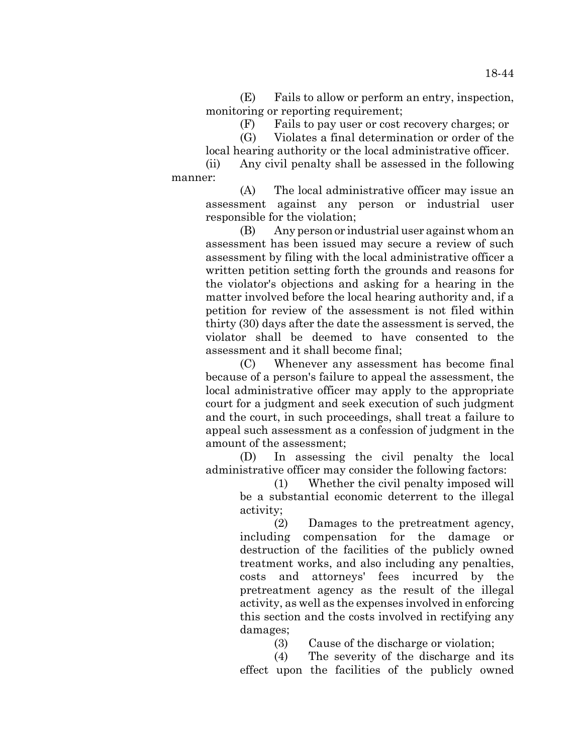(E) Fails to allow or perform an entry, inspection, monitoring or reporting requirement;

(F) Fails to pay user or cost recovery charges; or

(G) Violates a final determination or order of the local hearing authority or the local administrative officer.

(ii) Any civil penalty shall be assessed in the following manner:

(A) The local administrative officer may issue an assessment against any person or industrial user responsible for the violation;

(B) Any person or industrial user against whom an assessment has been issued may secure a review of such assessment by filing with the local administrative officer a written petition setting forth the grounds and reasons for the violator's objections and asking for a hearing in the matter involved before the local hearing authority and, if a petition for review of the assessment is not filed within thirty (30) days after the date the assessment is served, the violator shall be deemed to have consented to the assessment and it shall become final;

(C) Whenever any assessment has become final because of a person's failure to appeal the assessment, the local administrative officer may apply to the appropriate court for a judgment and seek execution of such judgment and the court, in such proceedings, shall treat a failure to appeal such assessment as a confession of judgment in the amount of the assessment;

(D) In assessing the civil penalty the local administrative officer may consider the following factors:

> (1) Whether the civil penalty imposed will be a substantial economic deterrent to the illegal activity;

> (2) Damages to the pretreatment agency, including compensation for the damage or destruction of the facilities of the publicly owned treatment works, and also including any penalties, costs and attorneys' fees incurred by the pretreatment agency as the result of the illegal activity, as well as the expenses involved in enforcing this section and the costs involved in rectifying any damages;

> > (3) Cause of the discharge or violation;

(4) The severity of the discharge and its effect upon the facilities of the publicly owned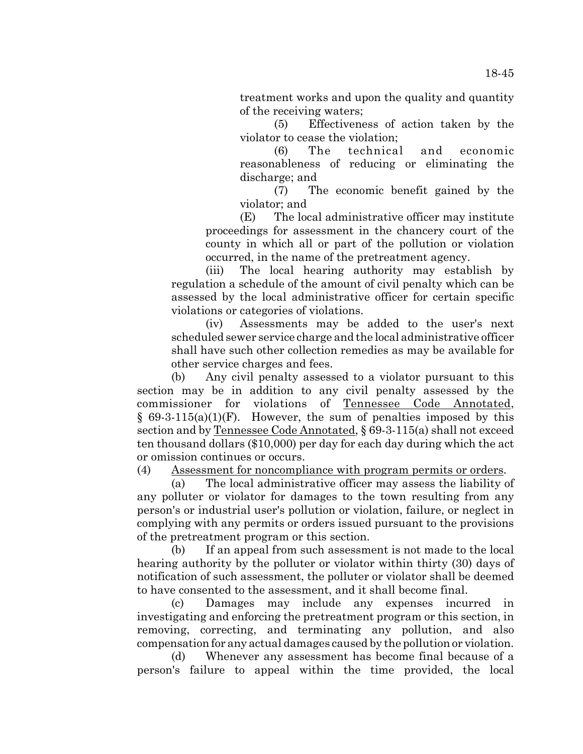treatment works and upon the quality and quantity of the receiving waters;

(5) Effectiveness of action taken by the violator to cease the violation;

(6) The technical and economic reasonableness of reducing or eliminating the discharge; and

(7) The economic benefit gained by the violator; and

(E) The local administrative officer may institute proceedings for assessment in the chancery court of the county in which all or part of the pollution or violation occurred, in the name of the pretreatment agency.

(iii) The local hearing authority may establish by regulation a schedule of the amount of civil penalty which can be assessed by the local administrative officer for certain specific violations or categories of violations.

(iv) Assessments may be added to the user's next scheduled sewer service charge and the local administrative officer shall have such other collection remedies as may be available for other service charges and fees.

(b) Any civil penalty assessed to a violator pursuant to this section may be in addition to any civil penalty assessed by the commissioner for violations of Tennessee Code Annotated,  $§ 69-3-115(a)(1)(F)$ . However, the sum of penalties imposed by this section and by Tennessee Code Annotated, § 69-3-115(a) shall not exceed ten thousand dollars (\$10,000) per day for each day during which the act or omission continues or occurs.

(4) Assessment for noncompliance with program permits or orders.

(a) The local administrative officer may assess the liability of any polluter or violator for damages to the town resulting from any person's or industrial user's pollution or violation, failure, or neglect in complying with any permits or orders issued pursuant to the provisions of the pretreatment program or this section.

(b) If an appeal from such assessment is not made to the local hearing authority by the polluter or violator within thirty (30) days of notification of such assessment, the polluter or violator shall be deemed to have consented to the assessment, and it shall become final.

(c) Damages may include any expenses incurred in investigating and enforcing the pretreatment program or this section, in removing, correcting, and terminating any pollution, and also compensation for any actual damages caused by the pollution or violation.

(d) Whenever any assessment has become final because of a person's failure to appeal within the time provided, the local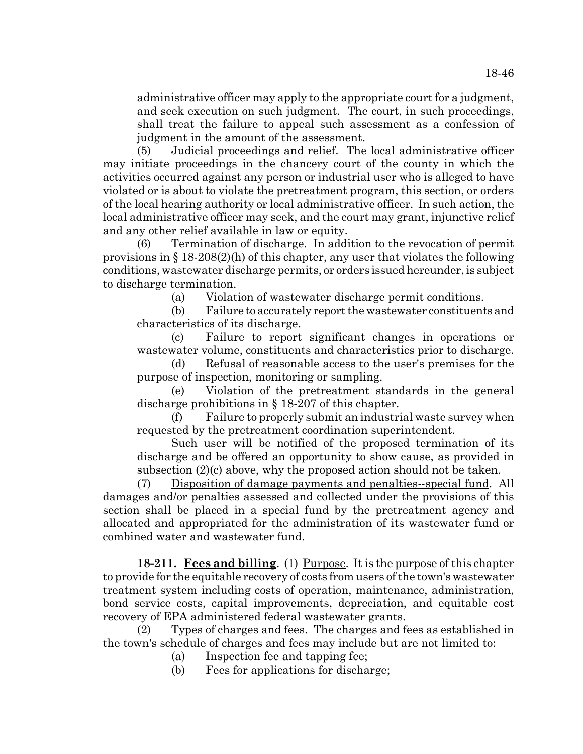administrative officer may apply to the appropriate court for a judgment, and seek execution on such judgment. The court, in such proceedings, shall treat the failure to appeal such assessment as a confession of judgment in the amount of the assessment.

(5) Judicial proceedings and relief. The local administrative officer may initiate proceedings in the chancery court of the county in which the activities occurred against any person or industrial user who is alleged to have violated or is about to violate the pretreatment program, this section, or orders of the local hearing authority or local administrative officer. In such action, the local administrative officer may seek, and the court may grant, injunctive relief and any other relief available in law or equity.

(6) Termination of discharge. In addition to the revocation of permit provisions in § 18-208(2)(h) of this chapter, any user that violates the following conditions, wastewater discharge permits, or orders issued hereunder, is subject to discharge termination.

(a) Violation of wastewater discharge permit conditions.

(b) Failure to accurately report the wastewater constituents and characteristics of its discharge.

(c) Failure to report significant changes in operations or wastewater volume, constituents and characteristics prior to discharge.

(d) Refusal of reasonable access to the user's premises for the purpose of inspection, monitoring or sampling.

(e) Violation of the pretreatment standards in the general discharge prohibitions in § 18-207 of this chapter.

(f) Failure to properly submit an industrial waste survey when requested by the pretreatment coordination superintendent.

Such user will be notified of the proposed termination of its discharge and be offered an opportunity to show cause, as provided in subsection (2)(c) above, why the proposed action should not be taken.

(7) Disposition of damage payments and penalties--special fund. All damages and/or penalties assessed and collected under the provisions of this section shall be placed in a special fund by the pretreatment agency and allocated and appropriated for the administration of its wastewater fund or combined water and wastewater fund.

**18-211. Fees and billing.** (1) Purpose. It is the purpose of this chapter to provide for the equitable recovery of costs from users of the town's wastewater treatment system including costs of operation, maintenance, administration, bond service costs, capital improvements, depreciation, and equitable cost recovery of EPA administered federal wastewater grants.

Types of charges and fees. The charges and fees as established in the town's schedule of charges and fees may include but are not limited to:

(a) Inspection fee and tapping fee;

(b) Fees for applications for discharge;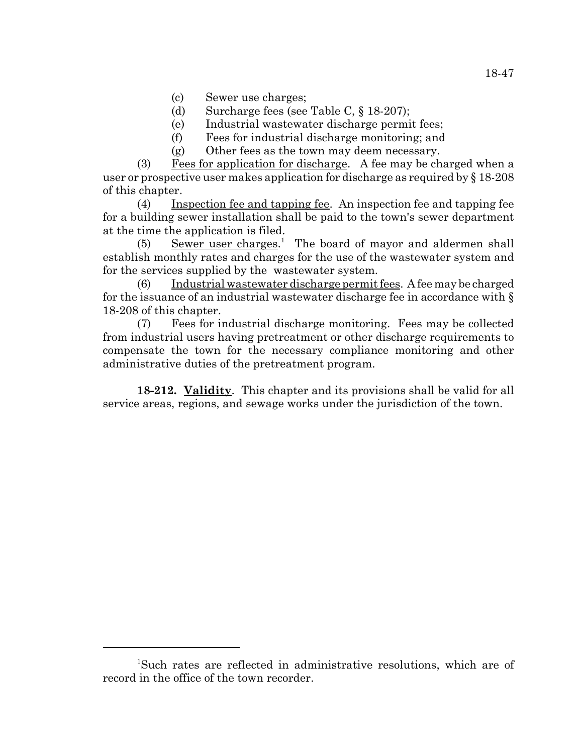- (c) Sewer use charges;
- (d) Surcharge fees (see Table C, § 18-207);
- (e) Industrial wastewater discharge permit fees;
- (f) Fees for industrial discharge monitoring; and
- (g) Other fees as the town may deem necessary.

(3) Fees for application for discharge. A fee may be charged when a user or prospective user makes application for discharge as required by  $\S 18-208$ of this chapter.

(4) Inspection fee and tapping fee. An inspection fee and tapping fee for a building sewer installation shall be paid to the town's sewer department at the time the application is filed.

(5) Sewer user charges.<sup>1</sup> The board of mayor and aldermen shall establish monthly rates and charges for the use of the wastewater system and for the services supplied by the wastewater system.

(6) Industrial wastewater discharge permit fees. A fee may be charged for the issuance of an industrial wastewater discharge fee in accordance with § 18-208 of this chapter.

(7) Fees for industrial discharge monitoring. Fees may be collected from industrial users having pretreatment or other discharge requirements to compensate the town for the necessary compliance monitoring and other administrative duties of the pretreatment program.

**18-212. Validity**. This chapter and its provisions shall be valid for all service areas, regions, and sewage works under the jurisdiction of the town.

<sup>1</sup> Such rates are reflected in administrative resolutions, which are of record in the office of the town recorder.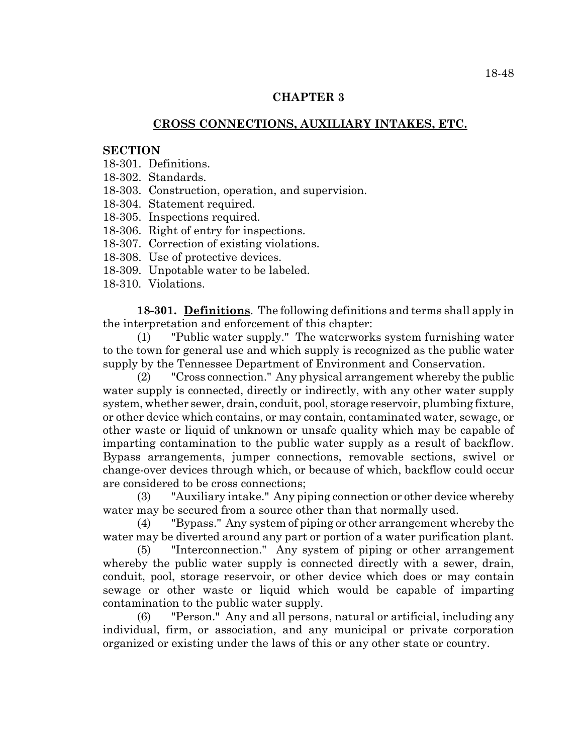# **CHAPTER 3**

# **CROSS CONNECTIONS, AUXILIARY INTAKES, ETC.**

## **SECTION**

- 18-301. Definitions.
- 18-302. Standards.
- 18-303. Construction, operation, and supervision.
- 18-304. Statement required.
- 18-305. Inspections required.
- 18-306. Right of entry for inspections.
- 18-307. Correction of existing violations.
- 18-308. Use of protective devices.
- 18-309. Unpotable water to be labeled.
- 18-310. Violations.

**18-301. Definitions**. The following definitions and terms shall apply in the interpretation and enforcement of this chapter:

(1) "Public water supply." The waterworks system furnishing water to the town for general use and which supply is recognized as the public water supply by the Tennessee Department of Environment and Conservation.

(2) "Cross connection." Any physical arrangement whereby the public water supply is connected, directly or indirectly, with any other water supply system, whether sewer, drain, conduit, pool, storage reservoir, plumbing fixture, or other device which contains, or may contain, contaminated water, sewage, or other waste or liquid of unknown or unsafe quality which may be capable of imparting contamination to the public water supply as a result of backflow. Bypass arrangements, jumper connections, removable sections, swivel or change-over devices through which, or because of which, backflow could occur are considered to be cross connections;

(3) "Auxiliary intake." Any piping connection or other device whereby water may be secured from a source other than that normally used.

(4) "Bypass." Any system of piping or other arrangement whereby the water may be diverted around any part or portion of a water purification plant.

(5) "Interconnection." Any system of piping or other arrangement whereby the public water supply is connected directly with a sewer, drain, conduit, pool, storage reservoir, or other device which does or may contain sewage or other waste or liquid which would be capable of imparting contamination to the public water supply.

(6) "Person." Any and all persons, natural or artificial, including any individual, firm, or association, and any municipal or private corporation organized or existing under the laws of this or any other state or country.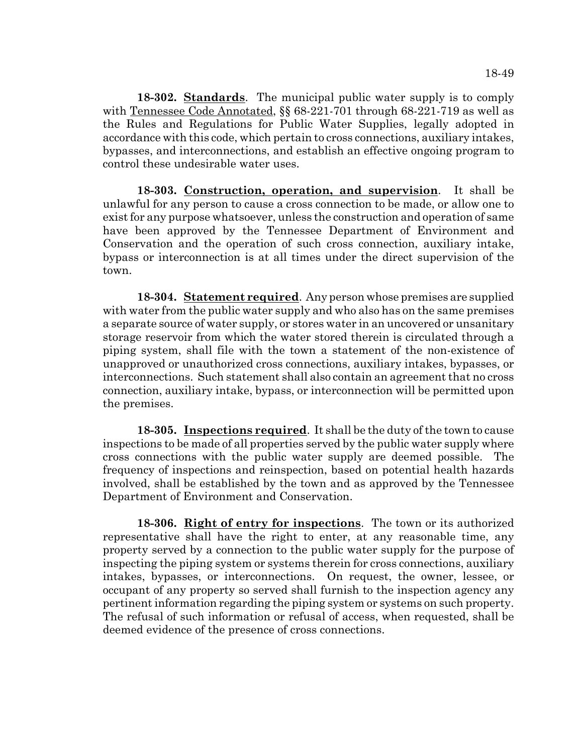**18-302. Standards**. The municipal public water supply is to comply with Tennessee Code Annotated, §§ 68-221-701 through 68-221-719 as well as the Rules and Regulations for Public Water Supplies, legally adopted in accordance with this code, which pertain to cross connections, auxiliary intakes, bypasses, and interconnections, and establish an effective ongoing program to control these undesirable water uses.

**18-303. Construction, operation, and supervision**. It shall be unlawful for any person to cause a cross connection to be made, or allow one to exist for any purpose whatsoever, unless the construction and operation of same have been approved by the Tennessee Department of Environment and Conservation and the operation of such cross connection, auxiliary intake, bypass or interconnection is at all times under the direct supervision of the town.

**18-304. Statement required**. Any person whose premises are supplied with water from the public water supply and who also has on the same premises a separate source of water supply, or stores water in an uncovered or unsanitary storage reservoir from which the water stored therein is circulated through a piping system, shall file with the town a statement of the non-existence of unapproved or unauthorized cross connections, auxiliary intakes, bypasses, or interconnections. Such statement shall also contain an agreement that no cross connection, auxiliary intake, bypass, or interconnection will be permitted upon the premises.

**18-305. Inspections required**. It shall be the duty of the town to cause inspections to be made of all properties served by the public water supply where cross connections with the public water supply are deemed possible. The frequency of inspections and reinspection, based on potential health hazards involved, shall be established by the town and as approved by the Tennessee Department of Environment and Conservation.

**18-306. Right of entry for inspections**. The town or its authorized representative shall have the right to enter, at any reasonable time, any property served by a connection to the public water supply for the purpose of inspecting the piping system or systems therein for cross connections, auxiliary intakes, bypasses, or interconnections. On request, the owner, lessee, or occupant of any property so served shall furnish to the inspection agency any pertinent information regarding the piping system or systems on such property. The refusal of such information or refusal of access, when requested, shall be deemed evidence of the presence of cross connections.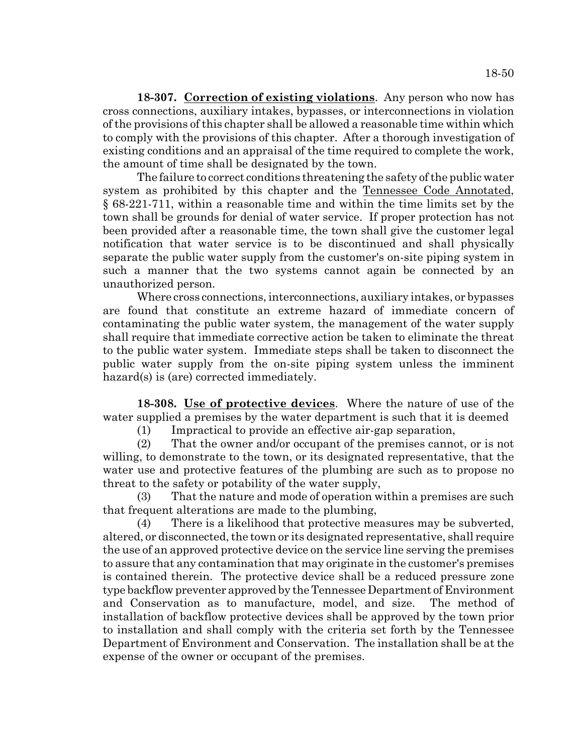**18-307. Correction of existing violations**. Any person who now has cross connections, auxiliary intakes, bypasses, or interconnections in violation of the provisions of this chapter shall be allowed a reasonable time within which to comply with the provisions of this chapter. After a thorough investigation of existing conditions and an appraisal of the time required to complete the work, the amount of time shall be designated by the town.

The failure to correct conditions threatening the safety of the public water system as prohibited by this chapter and the Tennessee Code Annotated, § 68-221-711, within a reasonable time and within the time limits set by the town shall be grounds for denial of water service. If proper protection has not been provided after a reasonable time, the town shall give the customer legal notification that water service is to be discontinued and shall physically separate the public water supply from the customer's on-site piping system in such a manner that the two systems cannot again be connected by an unauthorized person.

Where cross connections, interconnections, auxiliary intakes, or bypasses are found that constitute an extreme hazard of immediate concern of contaminating the public water system, the management of the water supply shall require that immediate corrective action be taken to eliminate the threat to the public water system. Immediate steps shall be taken to disconnect the public water supply from the on-site piping system unless the imminent hazard(s) is (are) corrected immediately.

**18-308. Use of protective devices**. Where the nature of use of the water supplied a premises by the water department is such that it is deemed

(1) Impractical to provide an effective air-gap separation,

(2) That the owner and/or occupant of the premises cannot, or is not willing, to demonstrate to the town, or its designated representative, that the water use and protective features of the plumbing are such as to propose no threat to the safety or potability of the water supply,

(3) That the nature and mode of operation within a premises are such that frequent alterations are made to the plumbing,

(4) There is a likelihood that protective measures may be subverted, altered, or disconnected, the town or its designated representative, shall require the use of an approved protective device on the service line serving the premises to assure that any contamination that may originate in the customer's premises is contained therein. The protective device shall be a reduced pressure zone type backflow preventer approved by the Tennessee Department of Environment and Conservation as to manufacture, model, and size. The method of installation of backflow protective devices shall be approved by the town prior to installation and shall comply with the criteria set forth by the Tennessee Department of Environment and Conservation. The installation shall be at the expense of the owner or occupant of the premises.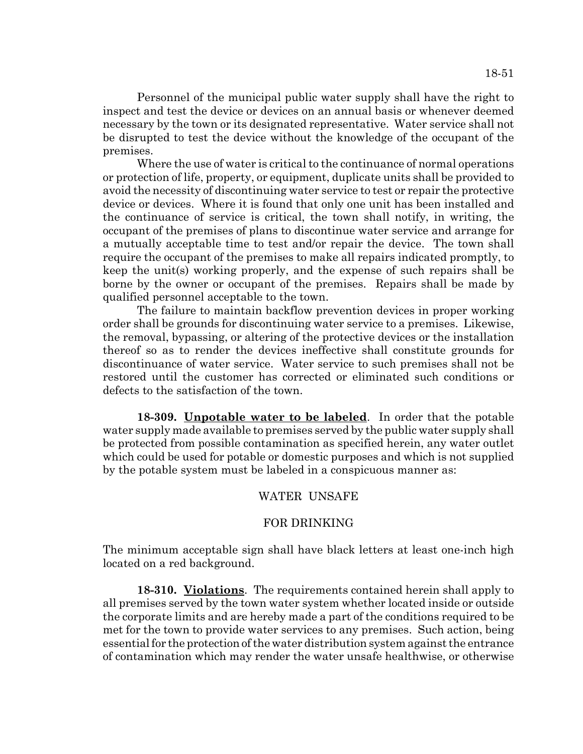Personnel of the municipal public water supply shall have the right to inspect and test the device or devices on an annual basis or whenever deemed necessary by the town or its designated representative. Water service shall not be disrupted to test the device without the knowledge of the occupant of the premises.

Where the use of water is critical to the continuance of normal operations or protection of life, property, or equipment, duplicate units shall be provided to avoid the necessity of discontinuing water service to test or repair the protective device or devices. Where it is found that only one unit has been installed and the continuance of service is critical, the town shall notify, in writing, the occupant of the premises of plans to discontinue water service and arrange for a mutually acceptable time to test and/or repair the device. The town shall require the occupant of the premises to make all repairs indicated promptly, to keep the unit(s) working properly, and the expense of such repairs shall be borne by the owner or occupant of the premises. Repairs shall be made by qualified personnel acceptable to the town.

The failure to maintain backflow prevention devices in proper working order shall be grounds for discontinuing water service to a premises. Likewise, the removal, bypassing, or altering of the protective devices or the installation thereof so as to render the devices ineffective shall constitute grounds for discontinuance of water service. Water service to such premises shall not be restored until the customer has corrected or eliminated such conditions or defects to the satisfaction of the town.

**18-309. Unpotable water to be labeled**. In order that the potable water supply made available to premises served by the public water supply shall be protected from possible contamination as specified herein, any water outlet which could be used for potable or domestic purposes and which is not supplied by the potable system must be labeled in a conspicuous manner as:

## WATER UNSAFE

#### FOR DRINKING

The minimum acceptable sign shall have black letters at least one-inch high located on a red background.

**18-310. Violations**. The requirements contained herein shall apply to all premises served by the town water system whether located inside or outside the corporate limits and are hereby made a part of the conditions required to be met for the town to provide water services to any premises. Such action, being essential for the protection of the water distribution system against the entrance of contamination which may render the water unsafe healthwise, or otherwise